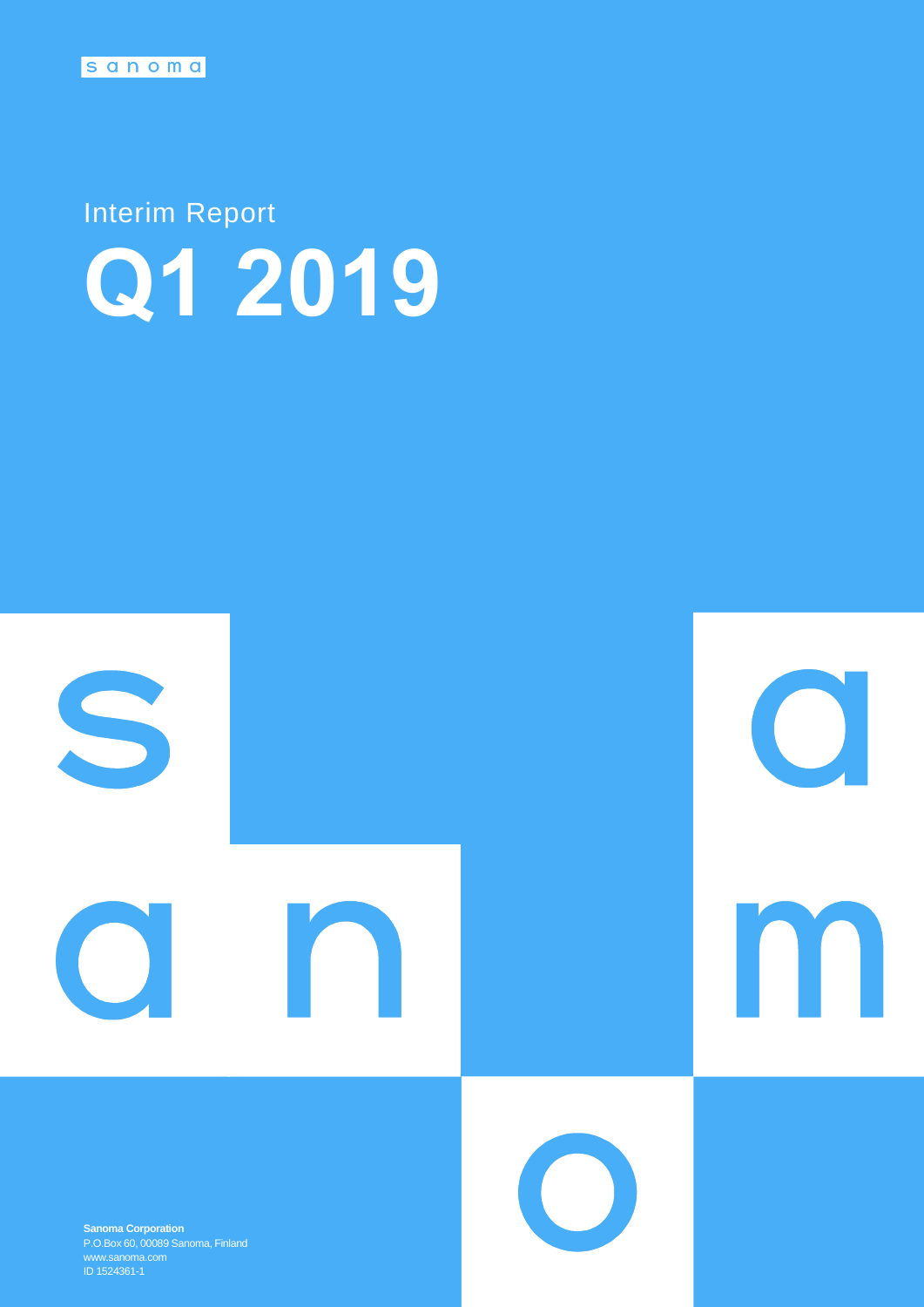# Interim Report **Q1 2019**



**Sanoma Corporation** P.O.Box 60, 00089 Sanoma, Finland ID 1524361-1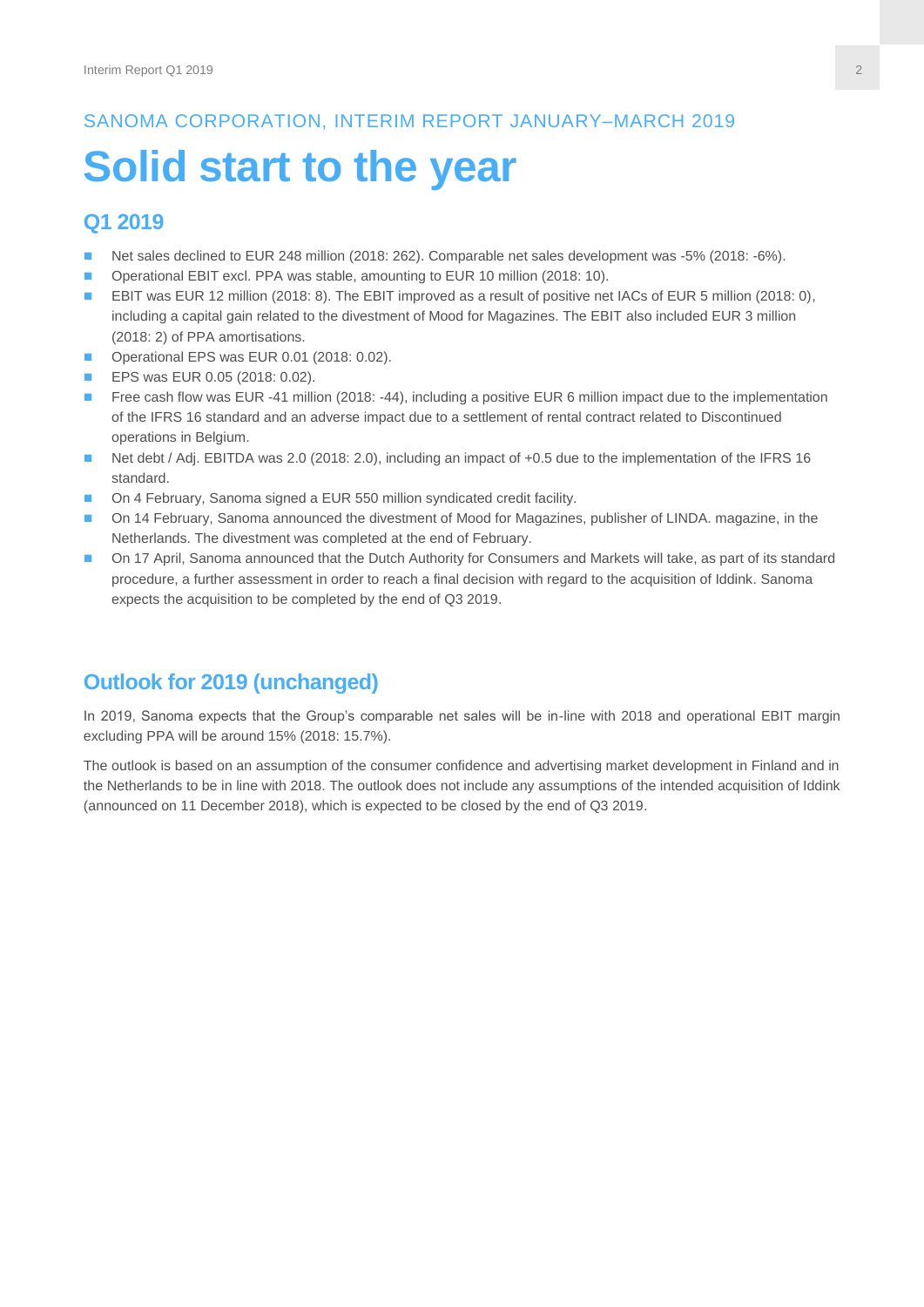# SANOMA CORPORATION, INTERIM REPORT JANUARY–MARCH 2019

# **Solid start to the year**

# **Q1 2019**

- Net sales declined to EUR 248 million (2018: 262). Comparable net sales development was -5% (2018: -6%).
- Operational EBIT excl. PPA was stable, amounting to EUR 10 million (2018: 10).
- EBIT was EUR 12 million (2018: 8). The EBIT improved as a result of positive net IACs of EUR 5 million (2018: 0), including a capital gain related to the divestment of Mood for Magazines. The EBIT also included EUR 3 million (2018: 2) of PPA amortisations.
- Operational EPS was EUR 0.01 (2018: 0.02).
- **EPS was EUR 0.05 (2018: 0.02).**
- Free cash flow was EUR -41 million (2018: -44), including a positive EUR 6 million impact due to the implementation of the IFRS 16 standard and an adverse impact due to a settlement of rental contract related to Discontinued operations in Belgium.
- Net debt / Adj. EBITDA was 2.0 (2018: 2.0), including an impact of +0.5 due to the implementation of the IFRS 16 standard.
- On 4 February, Sanoma signed a EUR 550 million syndicated credit facility.
- On 14 February, Sanoma announced the divestment of Mood for Magazines, publisher of LINDA. magazine, in the Netherlands. The divestment was completed at the end of February.
- On 17 April, Sanoma announced that the Dutch Authority for Consumers and Markets will take, as part of its standard procedure, a further assessment in order to reach a final decision with regard to the acquisition of Iddink. Sanoma expects the acquisition to be completed by the end of Q3 2019.

# **Outlook for 2019 (unchanged)**

In 2019, Sanoma expects that the Group's comparable net sales will be in-line with 2018 and operational EBIT margin excluding PPA will be around 15% (2018: 15.7%).

The outlook is based on an assumption of the consumer confidence and advertising market development in Finland and in the Netherlands to be in line with 2018. The outlook does not include any assumptions of the intended acquisition of Iddink (announced on 11 December 2018), which is expected to be closed by the end of Q3 2019.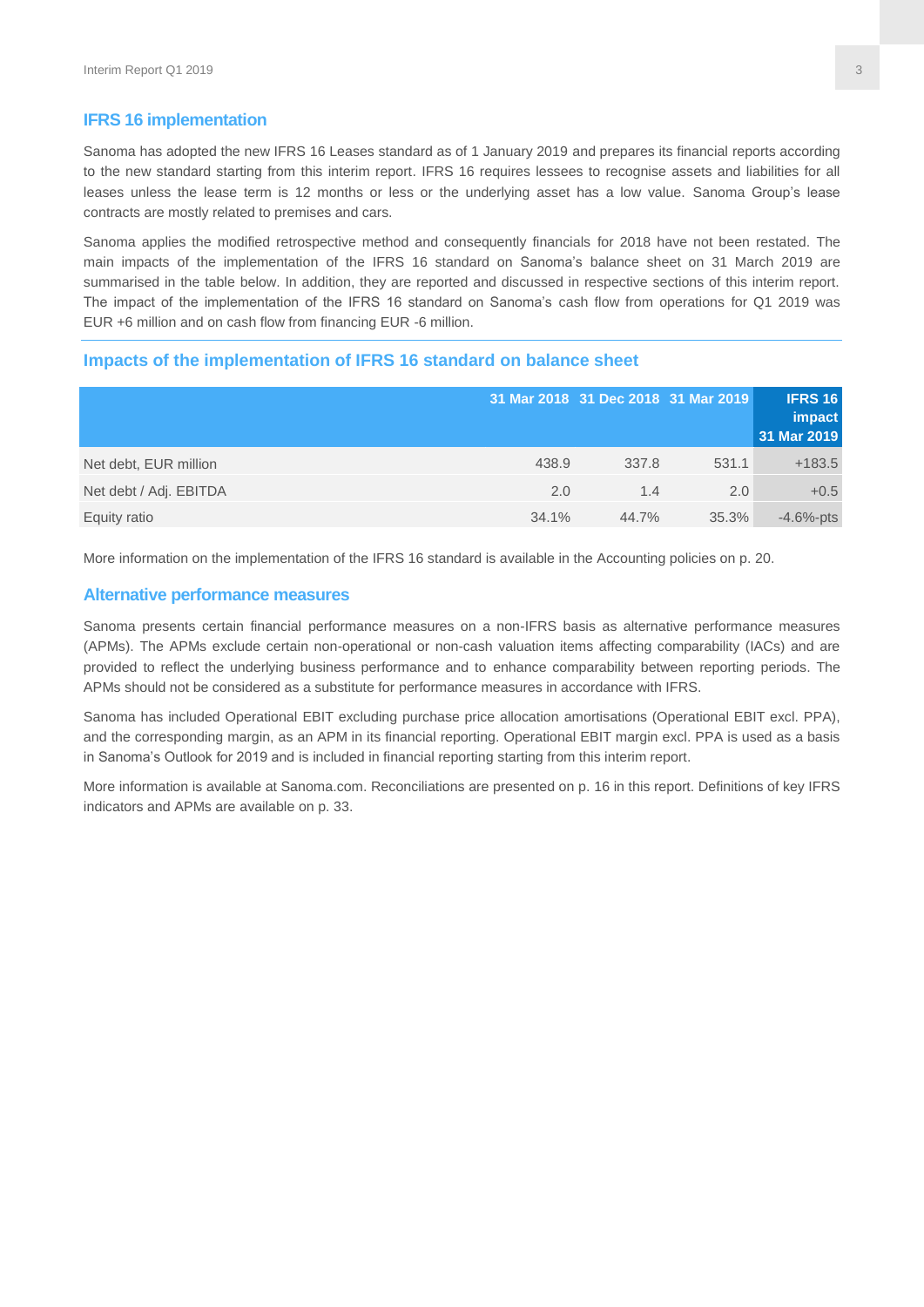#### **IFRS 16 implementation**

Sanoma has adopted the new IFRS 16 Leases standard as of 1 January 2019 and prepares its financial reports according to the new standard starting from this interim report. IFRS 16 requires lessees to recognise assets and liabilities for all leases unless the lease term is 12 months or less or the underlying asset has a low value. Sanoma Group's lease contracts are mostly related to premises and cars.

Sanoma applies the modified retrospective method and consequently financials for 2018 have not been restated. The main impacts of the implementation of the IFRS 16 standard on Sanoma's balance sheet on 31 March 2019 are summarised in the table below. In addition, they are reported and discussed in respective sections of this interim report. The impact of the implementation of the IFRS 16 standard on Sanoma's cash flow from operations for Q1 2019 was EUR +6 million and on cash flow from financing EUR -6 million.

#### **Impacts of the implementation of IFRS 16 standard on balance sheet**

|                        |       | 31 Mar 2018 31 Dec 2018 31 Mar 2019 |       | <b>IFRS 16</b><br>impact<br>31 Mar 2019 |
|------------------------|-------|-------------------------------------|-------|-----------------------------------------|
| Net debt, EUR million  | 438.9 | 337.8                               | 531.1 | $+183.5$                                |
| Net debt / Adj. EBITDA | 2.0   | 1.4                                 | 2.0   | $+0.5$                                  |
| Equity ratio           | 34.1% | 44.7%                               | 35.3% | $-4.6%$ -pts                            |

More information on the implementation of the IFRS 16 standard is available in the Accounting policies on p. 20.

#### **Alternative performance measures**

Sanoma presents certain financial performance measures on a non-IFRS basis as alternative performance measures (APMs). The APMs exclude certain non-operational or non-cash valuation items affecting comparability (IACs) and are provided to reflect the underlying business performance and to enhance comparability between reporting periods. The APMs should not be considered as a substitute for performance measures in accordance with IFRS.

Sanoma has included Operational EBIT excluding purchase price allocation amortisations (Operational EBIT excl. PPA), and the corresponding margin, as an APM in its financial reporting. Operational EBIT margin excl. PPA is used as a basis in Sanoma's Outlook for 2019 and is included in financial reporting starting from this interim report.

More information is available at Sanoma.com. Reconciliations are presented on p. 16 in this report. Definitions of key IFRS indicators and APMs are available on p. 33.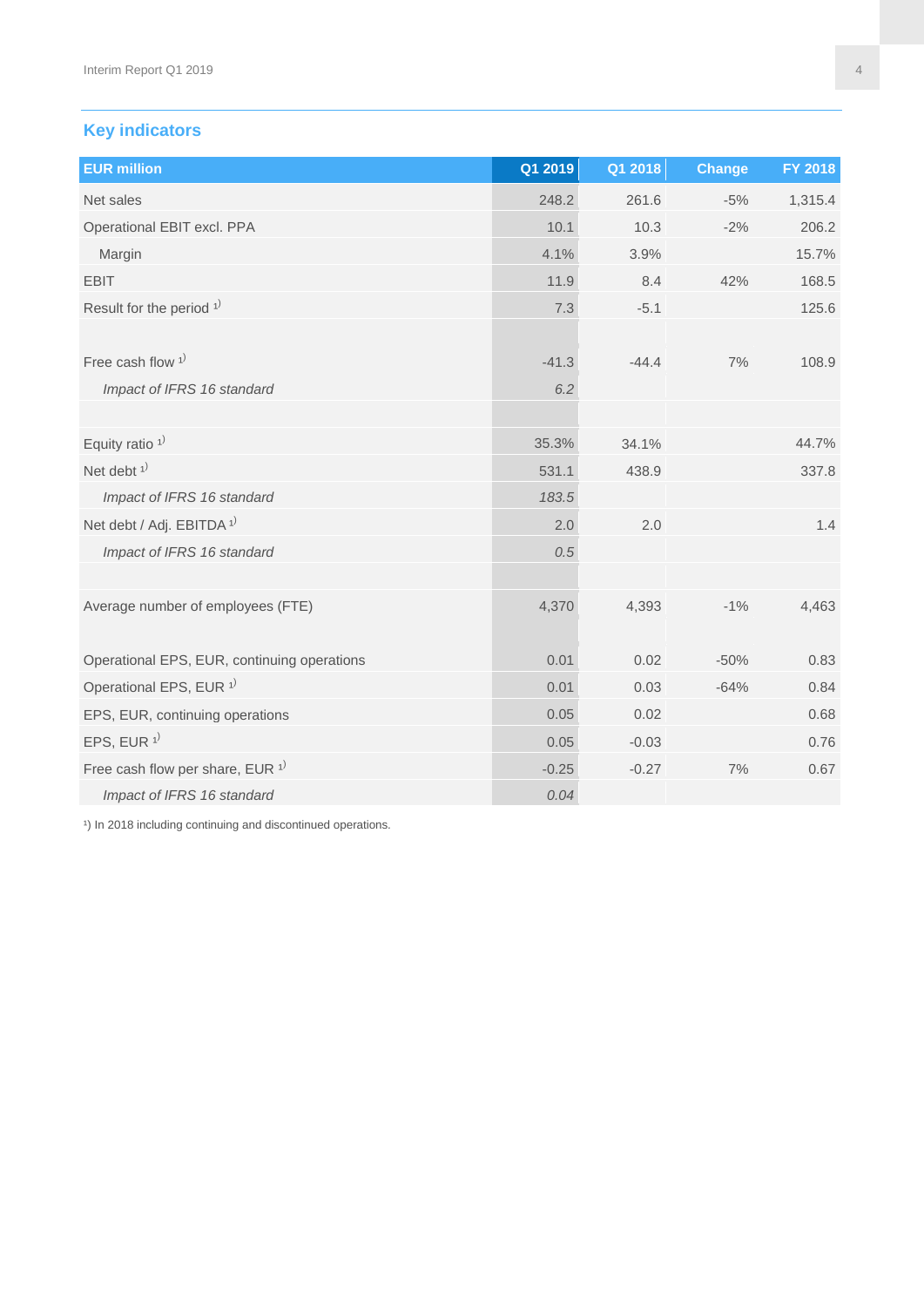# **Key indicators**

| <b>EUR million</b>                             | Q1 2019 | Q1 2018 | <b>Change</b> | FY 2018 |
|------------------------------------------------|---------|---------|---------------|---------|
| Net sales                                      | 248.2   | 261.6   | $-5%$         | 1,315.4 |
| Operational EBIT excl. PPA                     | 10.1    | 10.3    | $-2%$         | 206.2   |
| Margin                                         | 4.1%    | 3.9%    |               | 15.7%   |
| <b>EBIT</b>                                    | 11.9    | 8.4     | 42%           | 168.5   |
| Result for the period $1$ <sup>)</sup>         | 7.3     | $-5.1$  |               | 125.6   |
|                                                |         |         |               |         |
| Free cash flow $1$ <sup>)</sup>                | $-41.3$ | $-44.4$ | 7%            | 108.9   |
| Impact of IFRS 16 standard                     | 6.2     |         |               |         |
|                                                |         |         |               |         |
| Equity ratio <sup>1)</sup>                     | 35.3%   | 34.1%   |               | 44.7%   |
| Net debt $1$ <sup>)</sup>                      | 531.1   | 438.9   |               | 337.8   |
| Impact of IFRS 16 standard                     | 183.5   |         |               |         |
| Net debt / Adj. EBITDA <sup>1)</sup>           | 2.0     | 2.0     |               | 1.4     |
| Impact of IFRS 16 standard                     | 0.5     |         |               |         |
|                                                |         |         |               |         |
| Average number of employees (FTE)              | 4,370   | 4,393   | $-1%$         | 4,463   |
|                                                |         |         |               |         |
| Operational EPS, EUR, continuing operations    | 0.01    | 0.02    | $-50%$        | 0.83    |
| Operational EPS, EUR <sup>1)</sup>             | 0.01    | 0.03    | $-64%$        | 0.84    |
| EPS, EUR, continuing operations                | 0.05    | 0.02    |               | 0.68    |
| EPS, EUR $1$ <sup>1)</sup>                     | 0.05    | $-0.03$ |               | 0.76    |
| Free cash flow per share, EUR $1$ <sup>)</sup> | $-0.25$ | $-0.27$ | 7%            | 0.67    |
| Impact of IFRS 16 standard                     | 0.04    |         |               |         |

<sup>1</sup>) In 2018 including continuing and discontinued operations.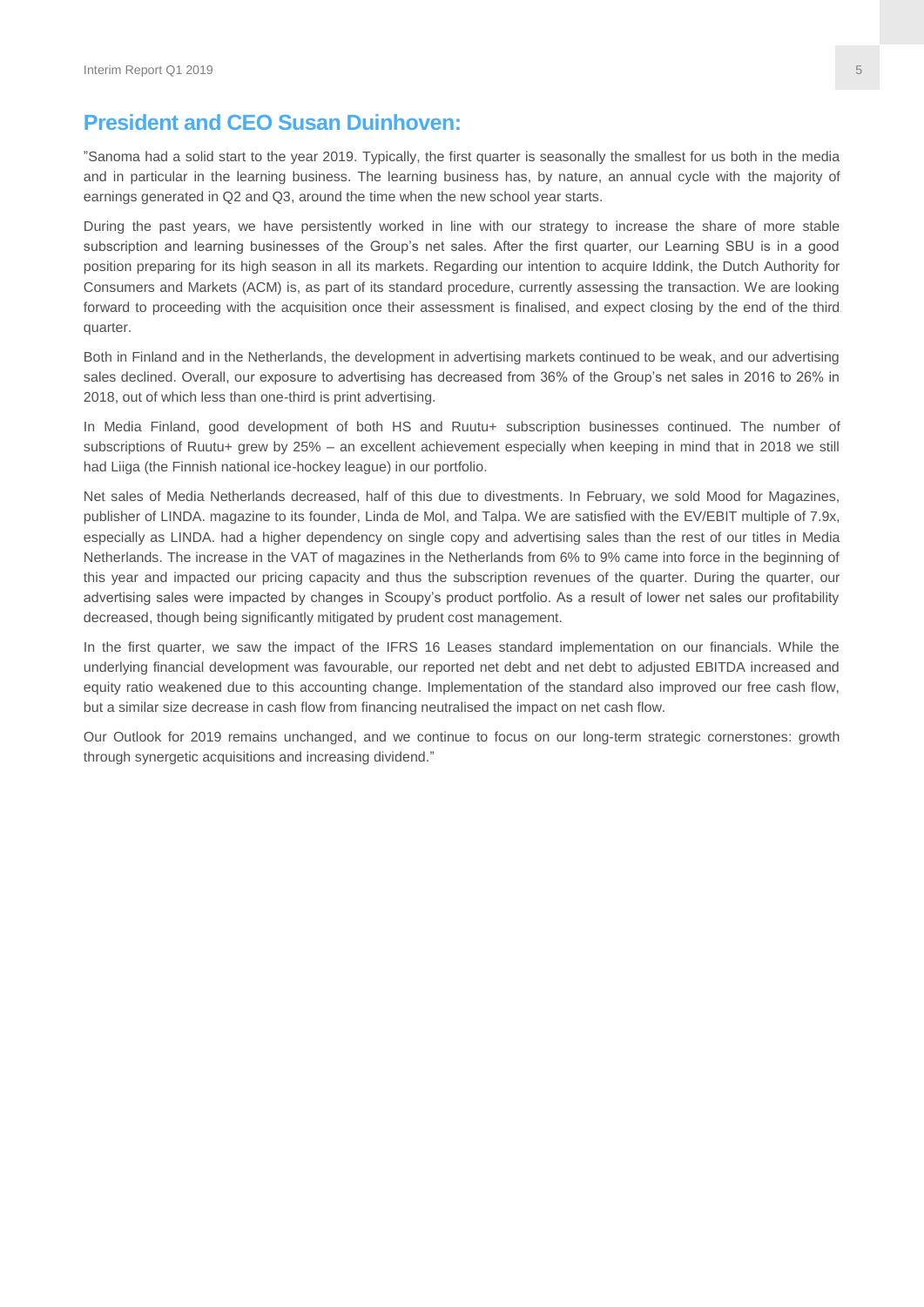# **President and CEO Susan Duinhoven:**

"Sanoma had a solid start to the year 2019. Typically, the first quarter is seasonally the smallest for us both in the media and in particular in the learning business. The learning business has, by nature, an annual cycle with the majority of earnings generated in Q2 and Q3, around the time when the new school year starts.

During the past years, we have persistently worked in line with our strategy to increase the share of more stable subscription and learning businesses of the Group's net sales. After the first quarter, our Learning SBU is in a good position preparing for its high season in all its markets. Regarding our intention to acquire Iddink, the Dutch Authority for Consumers and Markets (ACM) is, as part of its standard procedure, currently assessing the transaction. We are looking forward to proceeding with the acquisition once their assessment is finalised, and expect closing by the end of the third quarter.

Both in Finland and in the Netherlands, the development in advertising markets continued to be weak, and our advertising sales declined. Overall, our exposure to advertising has decreased from 36% of the Group's net sales in 2016 to 26% in 2018, out of which less than one-third is print advertising.

In Media Finland, good development of both HS and Ruutu+ subscription businesses continued. The number of subscriptions of Ruutu+ grew by 25% – an excellent achievement especially when keeping in mind that in 2018 we still had Liiga (the Finnish national ice-hockey league) in our portfolio.

Net sales of Media Netherlands decreased, half of this due to divestments. In February, we sold Mood for Magazines, publisher of LINDA. magazine to its founder, Linda de Mol, and Talpa. We are satisfied with the EV/EBIT multiple of 7.9x, especially as LINDA. had a higher dependency on single copy and advertising sales than the rest of our titles in Media Netherlands. The increase in the VAT of magazines in the Netherlands from 6% to 9% came into force in the beginning of this year and impacted our pricing capacity and thus the subscription revenues of the quarter. During the quarter, our advertising sales were impacted by changes in Scoupy's product portfolio. As a result of lower net sales our profitability decreased, though being significantly mitigated by prudent cost management.

In the first quarter, we saw the impact of the IFRS 16 Leases standard implementation on our financials. While the underlying financial development was favourable, our reported net debt and net debt to adjusted EBITDA increased and equity ratio weakened due to this accounting change. Implementation of the standard also improved our free cash flow, but a similar size decrease in cash flow from financing neutralised the impact on net cash flow.

Our Outlook for 2019 remains unchanged, and we continue to focus on our long-term strategic cornerstones: growth through synergetic acquisitions and increasing dividend."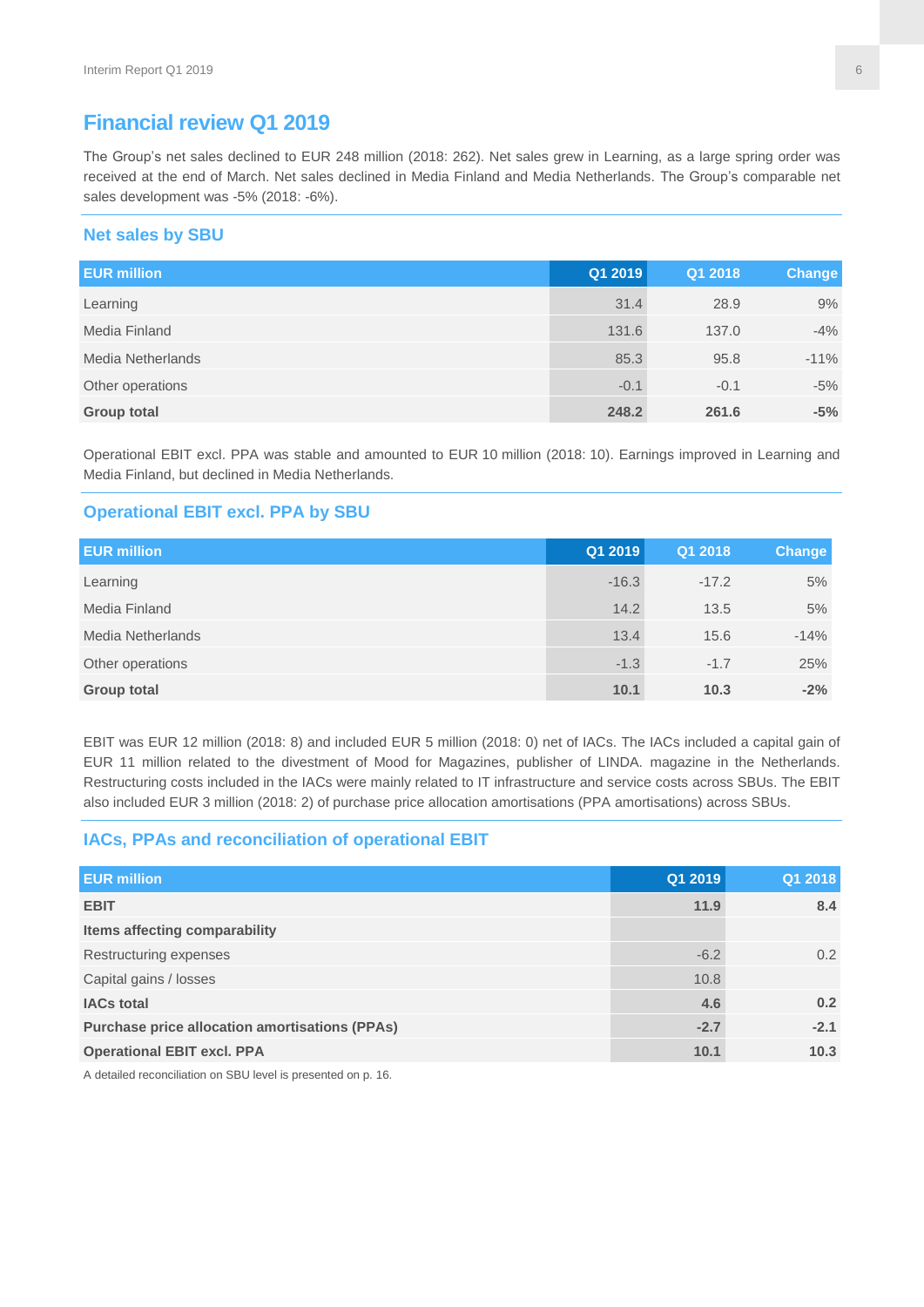# **Financial review Q1 2019**

The Group's net sales declined to EUR 248 million (2018: 262). Net sales grew in Learning, as a large spring order was received at the end of March. Net sales declined in Media Finland and Media Netherlands. The Group's comparable net sales development was -5% (2018: -6%).

#### **Net sales by SBU**

| <b>EUR million</b> | Q1 2019 | Q1 2018 | Change |
|--------------------|---------|---------|--------|
| Learning           | 31.4    | 28.9    | 9%     |
| Media Finland      | 131.6   | 137.0   | $-4%$  |
| Media Netherlands  | 85.3    | 95.8    | $-11%$ |
| Other operations   | $-0.1$  | $-0.1$  | $-5%$  |
| <b>Group total</b> | 248.2   | 261.6   | $-5%$  |

Operational EBIT excl. PPA was stable and amounted to EUR 10 million (2018: 10). Earnings improved in Learning and Media Finland, but declined in Media Netherlands.

#### **Operational EBIT excl. PPA by SBU**

| <b>EUR million</b> | Q1 2019 | Q1 2018 | Change |
|--------------------|---------|---------|--------|
| Learning           | $-16.3$ | $-17.2$ | 5%     |
| Media Finland      | 14.2    | 13.5    | 5%     |
| Media Netherlands  | 13.4    | 15.6    | $-14%$ |
| Other operations   | $-1.3$  | $-1.7$  | 25%    |
| <b>Group total</b> | 10.1    | 10.3    | $-2%$  |

EBIT was EUR 12 million (2018: 8) and included EUR 5 million (2018: 0) net of IACs. The IACs included a capital gain of EUR 11 million related to the divestment of Mood for Magazines, publisher of LINDA. magazine in the Netherlands. Restructuring costs included in the IACs were mainly related to IT infrastructure and service costs across SBUs. The EBIT also included EUR 3 million (2018: 2) of purchase price allocation amortisations (PPA amortisations) across SBUs.

#### **IACs, PPAs and reconciliation of operational EBIT**

| <b>EUR million</b>                                    | Q1 2019 | Q1 2018       |
|-------------------------------------------------------|---------|---------------|
| <b>EBIT</b>                                           | 11.9    | 8.4           |
| Items affecting comparability                         |         |               |
| Restructuring expenses                                | $-6.2$  | $0.2^{\circ}$ |
| Capital gains / losses                                | 10.8    |               |
| <b>IACs total</b>                                     | 4.6     | 0.2           |
| <b>Purchase price allocation amortisations (PPAs)</b> | $-2.7$  | $-2.1$        |
| <b>Operational EBIT excl. PPA</b>                     | 10.1    | 10.3          |

A detailed reconciliation on SBU level is presented on p. 16.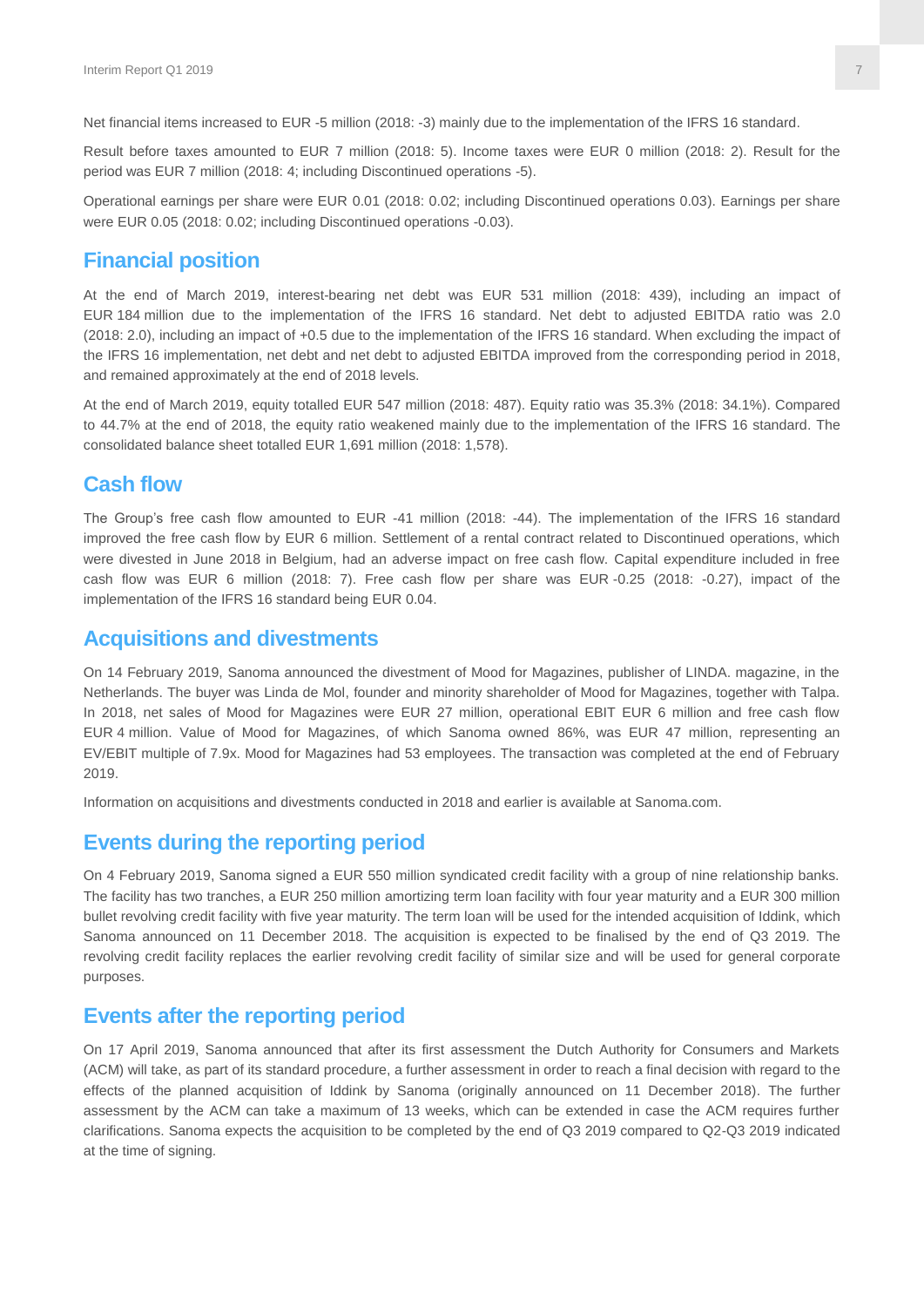Net financial items increased to EUR -5 million (2018: -3) mainly due to the implementation of the IFRS 16 standard.

Result before taxes amounted to EUR 7 million (2018: 5). Income taxes were EUR 0 million (2018: 2). Result for the period was EUR 7 million (2018: 4; including Discontinued operations -5).

Operational earnings per share were EUR 0.01 (2018: 0.02; including Discontinued operations 0.03). Earnings per share were EUR 0.05 (2018: 0.02; including Discontinued operations -0.03).

#### **Financial position**

At the end of March 2019, interest-bearing net debt was EUR 531 million (2018: 439), including an impact of EUR 184 million due to the implementation of the IFRS 16 standard. Net debt to adjusted EBITDA ratio was 2.0 (2018: 2.0), including an impact of +0.5 due to the implementation of the IFRS 16 standard. When excluding the impact of the IFRS 16 implementation, net debt and net debt to adjusted EBITDA improved from the corresponding period in 2018, and remained approximately at the end of 2018 levels.

At the end of March 2019, equity totalled EUR 547 million (2018: 487). Equity ratio was 35.3% (2018: 34.1%). Compared to 44.7% at the end of 2018, the equity ratio weakened mainly due to the implementation of the IFRS 16 standard. The consolidated balance sheet totalled EUR 1,691 million (2018: 1,578).

#### **Cash flow**

The Group's free cash flow amounted to EUR -41 million (2018: -44). The implementation of the IFRS 16 standard improved the free cash flow by EUR 6 million. Settlement of a rental contract related to Discontinued operations, which were divested in June 2018 in Belgium, had an adverse impact on free cash flow. Capital expenditure included in free cash flow was EUR 6 million (2018: 7). Free cash flow per share was EUR -0.25 (2018: -0.27), impact of the implementation of the IFRS 16 standard being EUR 0.04.

#### **Acquisitions and divestments**

On 14 February 2019, Sanoma announced the divestment of Mood for Magazines, publisher of LINDA. magazine, in the Netherlands. The buyer was Linda de Mol, founder and minority shareholder of Mood for Magazines, together with Talpa. In 2018, net sales of Mood for Magazines were EUR 27 million, operational EBIT EUR 6 million and free cash flow EUR 4 million. Value of Mood for Magazines, of which Sanoma owned 86%, was EUR 47 million, representing an EV/EBIT multiple of 7.9x. Mood for Magazines had 53 employees. The transaction was completed at the end of February 2019.

Information on acquisitions and divestments conducted in 2018 and earlier is available at Sanoma.com.

#### **Events during the reporting period**

On 4 February 2019, Sanoma signed a EUR 550 million syndicated credit facility with a group of nine relationship banks. The facility has two tranches, a EUR 250 million amortizing term loan facility with four year maturity and a EUR 300 million bullet revolving credit facility with five year maturity. The term loan will be used for the intended acquisition of Iddink, which Sanoma announced on 11 December 2018. The acquisition is expected to be finalised by the end of Q3 2019. The revolving credit facility replaces the earlier revolving credit facility of similar size and will be used for general corporate purposes.

#### **Events after the reporting period**

On 17 April 2019, Sanoma announced that after its first assessment the Dutch Authority for Consumers and Markets (ACM) will take, as part of its standard procedure, a further assessment in order to reach a final decision with regard to the effects of the planned acquisition of Iddink by Sanoma (originally announced on 11 December 2018). The further assessment by the ACM can take a maximum of 13 weeks, which can be extended in case the ACM requires further clarifications. Sanoma expects the acquisition to be completed by the end of Q3 2019 compared to Q2-Q3 2019 indicated at the time of signing.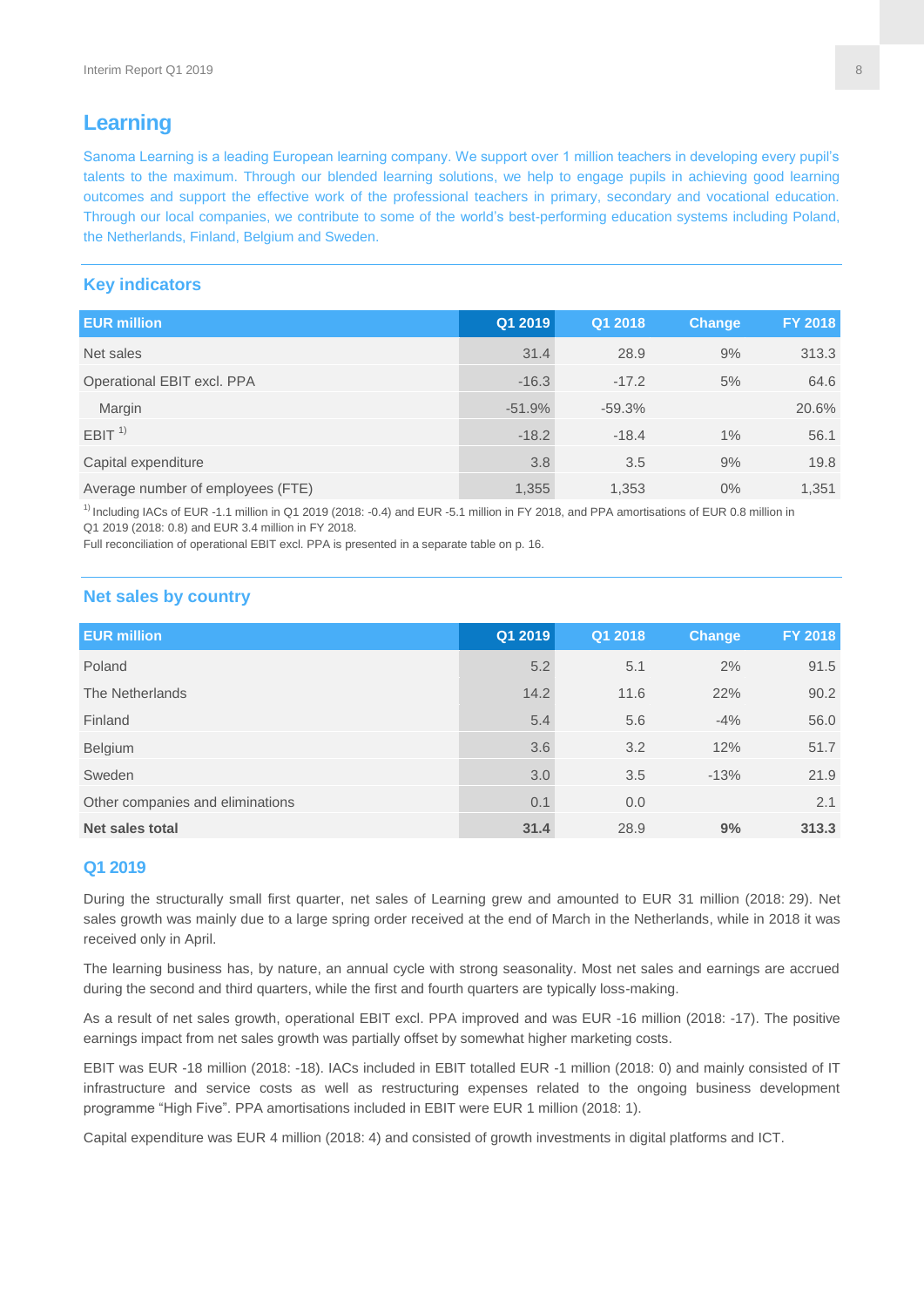# **Learning**

Sanoma Learning is a leading European learning company. We support over 1 million teachers in developing every pupil's talents to the maximum. Through our blended learning solutions, we help to engage pupils in achieving good learning outcomes and support the effective work of the professional teachers in primary, secondary and vocational education. Through our local companies, we contribute to some of the world's best-performing education systems including Poland, the Netherlands, Finland, Belgium and Sweden.

#### **Key indicators**

| <b>EUR million</b>                | Q1 2019  | Q1 2018  | <b>Change</b> | FY 2018 |
|-----------------------------------|----------|----------|---------------|---------|
| Net sales                         | 31.4     | 28.9     | 9%            | 313.3   |
| Operational EBIT excl. PPA        | $-16.3$  | $-17.2$  | 5%            | 64.6    |
| Margin                            | $-51.9%$ | $-59.3%$ |               | 20.6%   |
| EBIT <sup>1</sup>                 | $-18.2$  | $-18.4$  | 1%            | 56.1    |
| Capital expenditure               | 3.8      | 3.5      | 9%            | 19.8    |
| Average number of employees (FTE) | 1,355    | 1,353    | 0%            | 1,351   |

 $1)$  Including IACs of EUR -1.1 million in Q1 2019 (2018: -0.4) and EUR -5.1 million in FY 2018, and PPA amortisations of EUR 0.8 million in Q1 2019 (2018: 0.8) and EUR 3.4 million in FY 2018.

Full reconciliation of operational EBIT excl. PPA is presented in a separate table on p. 16.

#### **Net sales by country**

| <b>EUR million</b>               | Q1 2019 | Q1 2018 | Change | <b>FY 2018</b> |
|----------------------------------|---------|---------|--------|----------------|
| Poland                           | 5.2     | 5.1     | 2%     | 91.5           |
| The Netherlands                  | 14.2    | 11.6    | 22%    | 90.2           |
| Finland                          | 5.4     | 5.6     | $-4%$  | 56.0           |
| Belgium                          | 3.6     | 3.2     | 12%    | 51.7           |
| Sweden                           | 3.0     | 3.5     | $-13%$ | 21.9           |
| Other companies and eliminations | 0.1     | 0.0     |        | 2.1            |
| Net sales total                  | 31.4    | 28.9    | 9%     | 313.3          |

#### **Q1 2019**

During the structurally small first quarter, net sales of Learning grew and amounted to EUR 31 million (2018: 29). Net sales growth was mainly due to a large spring order received at the end of March in the Netherlands, while in 2018 it was received only in April.

The learning business has, by nature, an annual cycle with strong seasonality. Most net sales and earnings are accrued during the second and third quarters, while the first and fourth quarters are typically loss-making.

As a result of net sales growth, operational EBIT excl. PPA improved and was EUR -16 million (2018: -17). The positive earnings impact from net sales growth was partially offset by somewhat higher marketing costs.

EBIT was EUR -18 million (2018: -18). IACs included in EBIT totalled EUR -1 million (2018: 0) and mainly consisted of IT infrastructure and service costs as well as restructuring expenses related to the ongoing business development programme "High Five". PPA amortisations included in EBIT were EUR 1 million (2018: 1).

Capital expenditure was EUR 4 million (2018: 4) and consisted of growth investments in digital platforms and ICT.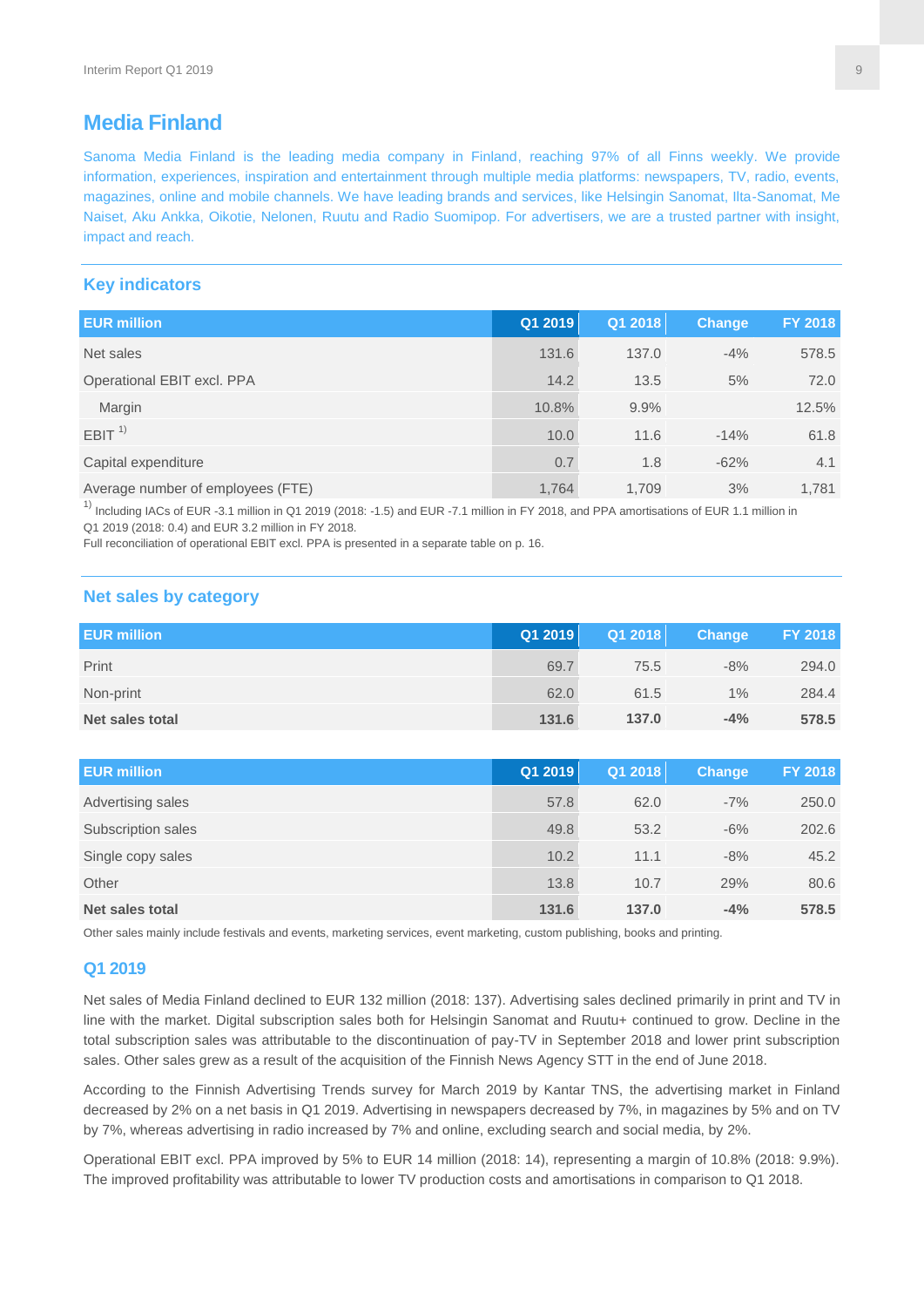# **Media Finland**

Sanoma Media Finland is the leading media company in Finland, reaching 97% of all Finns weekly. We provide information, experiences, inspiration and entertainment through multiple media platforms: newspapers, TV, radio, events, magazines, online and mobile channels. We have leading brands and services, like Helsingin Sanomat, Ilta-Sanomat, Me Naiset, Aku Ankka, Oikotie, Nelonen, Ruutu and Radio Suomipop. For advertisers, we are a trusted partner with insight, impact and reach.

#### **Key indicators**

| <b>EUR million</b>                | Q1 2019 | Q1 2018 | <b>Change</b> | FY 2018 |
|-----------------------------------|---------|---------|---------------|---------|
| Net sales                         | 131.6   | 137.0   | $-4%$         | 578.5   |
| Operational EBIT excl. PPA        | 14.2    | 13.5    | 5%            | 72.0    |
| Margin                            | 10.8%   | 9.9%    |               | 12.5%   |
| EBIT <sup>1</sup>                 | 10.0    | 11.6    | $-14%$        | 61.8    |
| Capital expenditure               | 0.7     | 1.8     | $-62%$        | 4.1     |
| Average number of employees (FTE) | 1.764   | 1.709   | 3%            | 1,781   |

<sup>1)</sup> Including IACs of EUR -3.1 million in Q1 2019 (2018: -1.5) and EUR -7.1 million in FY 2018, and PPA amortisations of EUR 1.1 million in Q1 2019 (2018: 0.4) and EUR 3.2 million in FY 2018.

Full reconciliation of operational EBIT excl. PPA is presented in a separate table on p. 16.

#### **Net sales by category**

| <b>EUR million</b> | Q1 2019 | Q1 2018 | <b>Change</b> | <b>FY 2018</b> |
|--------------------|---------|---------|---------------|----------------|
| Print              | 69.7    | 75.5    | $-8%$         | 294.0          |
| Non-print          | 62.0    | 61.5    | 1%            | 284.4          |
| Net sales total    | 131.6   | 137.0   | $-4%$         | 578.5          |

| <b>EUR million</b> | Q1 2019 | Q1 2018 | <b>Change</b> | <b>FY 2018</b> |
|--------------------|---------|---------|---------------|----------------|
| Advertising sales  | 57.8    | 62.0    | $-7%$         | 250.0          |
| Subscription sales | 49.8    | 53.2    | $-6\%$        | 202.6          |
| Single copy sales  | 10.2    | 11.1    | $-8\%$        | 45.2           |
| Other              | 13.8    | 10.7    | 29%           | 80.6           |
| Net sales total    | 131.6   | 137.0   | $-4%$         | 578.5          |

Other sales mainly include festivals and events, marketing services, event marketing, custom publishing, books and printing.

#### **Q1 2019**

Net sales of Media Finland declined to EUR 132 million (2018: 137). Advertising sales declined primarily in print and TV in line with the market. Digital subscription sales both for Helsingin Sanomat and Ruutu+ continued to grow. Decline in the total subscription sales was attributable to the discontinuation of pay-TV in September 2018 and lower print subscription sales. Other sales grew as a result of the acquisition of the Finnish News Agency STT in the end of June 2018.

According to the Finnish Advertising Trends survey for March 2019 by Kantar TNS, the advertising market in Finland decreased by 2% on a net basis in Q1 2019. Advertising in newspapers decreased by 7%, in magazines by 5% and on TV by 7%, whereas advertising in radio increased by 7% and online, excluding search and social media, by 2%.

Operational EBIT excl. PPA improved by 5% to EUR 14 million (2018: 14), representing a margin of 10.8% (2018: 9.9%). The improved profitability was attributable to lower TV production costs and amortisations in comparison to Q1 2018.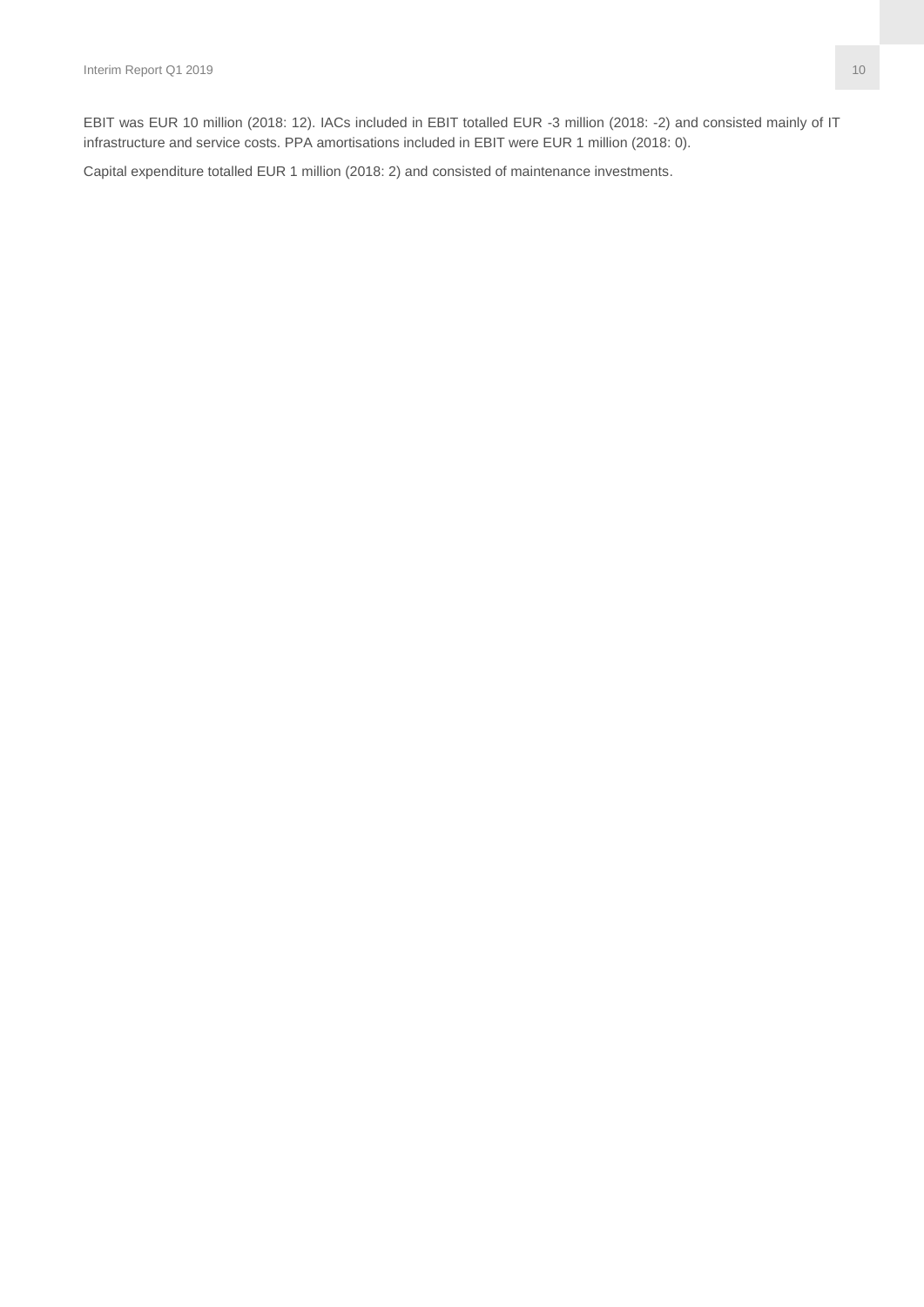EBIT was EUR 10 million (2018: 12). IACs included in EBIT totalled EUR -3 million (2018: -2) and consisted mainly of IT infrastructure and service costs. PPA amortisations included in EBIT were EUR 1 million (2018: 0).

Capital expenditure totalled EUR 1 million (2018: 2) and consisted of maintenance investments.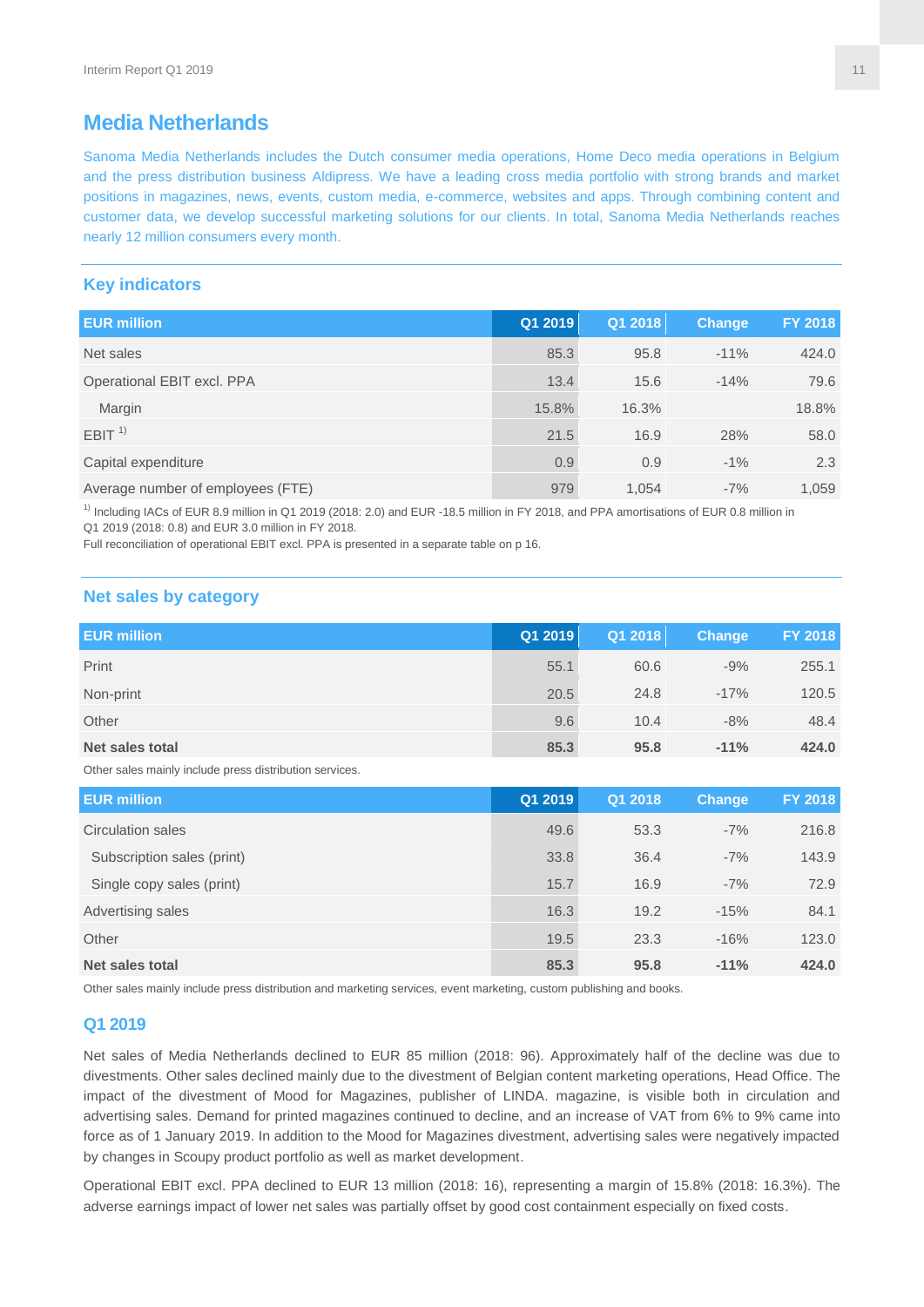# **Media Netherlands**

Sanoma Media Netherlands includes the Dutch consumer media operations, Home Deco media operations in Belgium and the press distribution business Aldipress. We have a leading cross media portfolio with strong brands and market positions in magazines, news, events, custom media, e-commerce, websites and apps. Through combining content and customer data, we develop successful marketing solutions for our clients. In total, Sanoma Media Netherlands reaches nearly 12 million consumers every month.

#### **Key indicators**

| <b>EUR million</b>                | Q1 2019 | Q1 2018 | <b>Change</b> | FY 2018 |
|-----------------------------------|---------|---------|---------------|---------|
| Net sales                         | 85.3    | 95.8    | $-11%$        | 424.0   |
| Operational EBIT excl. PPA        | 13.4    | 15.6    | $-14%$        | 79.6    |
| Margin                            | 15.8%   | 16.3%   |               | 18.8%   |
| EBIT <sup>1</sup>                 | 21.5    | 16.9    | 28%           | 58.0    |
| Capital expenditure               | 0.9     | 0.9     | $-1\%$        | 2.3     |
| Average number of employees (FTE) | 979     | 1.054   | $-7%$         | 1.059   |

 $1)$  Including IACs of EUR 8.9 million in Q1 2019 (2018: 2.0) and EUR -18.5 million in FY 2018, and PPA amortisations of EUR 0.8 million in Q1 2019 (2018: 0.8) and EUR 3.0 million in FY 2018.

Full reconciliation of operational EBIT excl. PPA is presented in a separate table on p 16.

#### **Net sales by category**

| <b>EUR million</b> | Q1 2019 | Q1 2018 | Change | FY 2018 |
|--------------------|---------|---------|--------|---------|
| Print              | 55.1    | 60.6    | $-9%$  | 255.1   |
| Non-print          | 20.5    | 24.8    | $-17%$ | 120.5   |
| Other              | 9.6     | 10.4    | $-8%$  | 48.4    |
| Net sales total    | 85.3    | 95.8    | $-11%$ | 424.0   |

Other sales mainly include press distribution services.

| <b>EUR million</b>         | Q1 2019 | Q1 2018 | <b>Change</b> | <b>FY 2018</b> |
|----------------------------|---------|---------|---------------|----------------|
| Circulation sales          | 49.6    | 53.3    | $-7%$         | 216.8          |
| Subscription sales (print) | 33.8    | 36.4    | $-7%$         | 143.9          |
| Single copy sales (print)  | 15.7    | 16.9    | $-7%$         | 72.9           |
| Advertising sales          | 16.3    | 19.2    | $-15%$        | 84.1           |
| Other                      | 19.5    | 23.3    | $-16%$        | 123.0          |
| Net sales total            | 85.3    | 95.8    | $-11%$        | 424.0          |

Other sales mainly include press distribution and marketing services, event marketing, custom publishing and books.

#### **Q1 2019**

Net sales of Media Netherlands declined to EUR 85 million (2018: 96). Approximately half of the decline was due to divestments. Other sales declined mainly due to the divestment of Belgian content marketing operations, Head Office. The impact of the divestment of Mood for Magazines, publisher of LINDA. magazine, is visible both in circulation and advertising sales. Demand for printed magazines continued to decline, and an increase of VAT from 6% to 9% came into force as of 1 January 2019. In addition to the Mood for Magazines divestment, advertising sales were negatively impacted by changes in Scoupy product portfolio as well as market development.

Operational EBIT excl. PPA declined to EUR 13 million (2018: 16), representing a margin of 15.8% (2018: 16.3%). The adverse earnings impact of lower net sales was partially offset by good cost containment especially on fixed costs.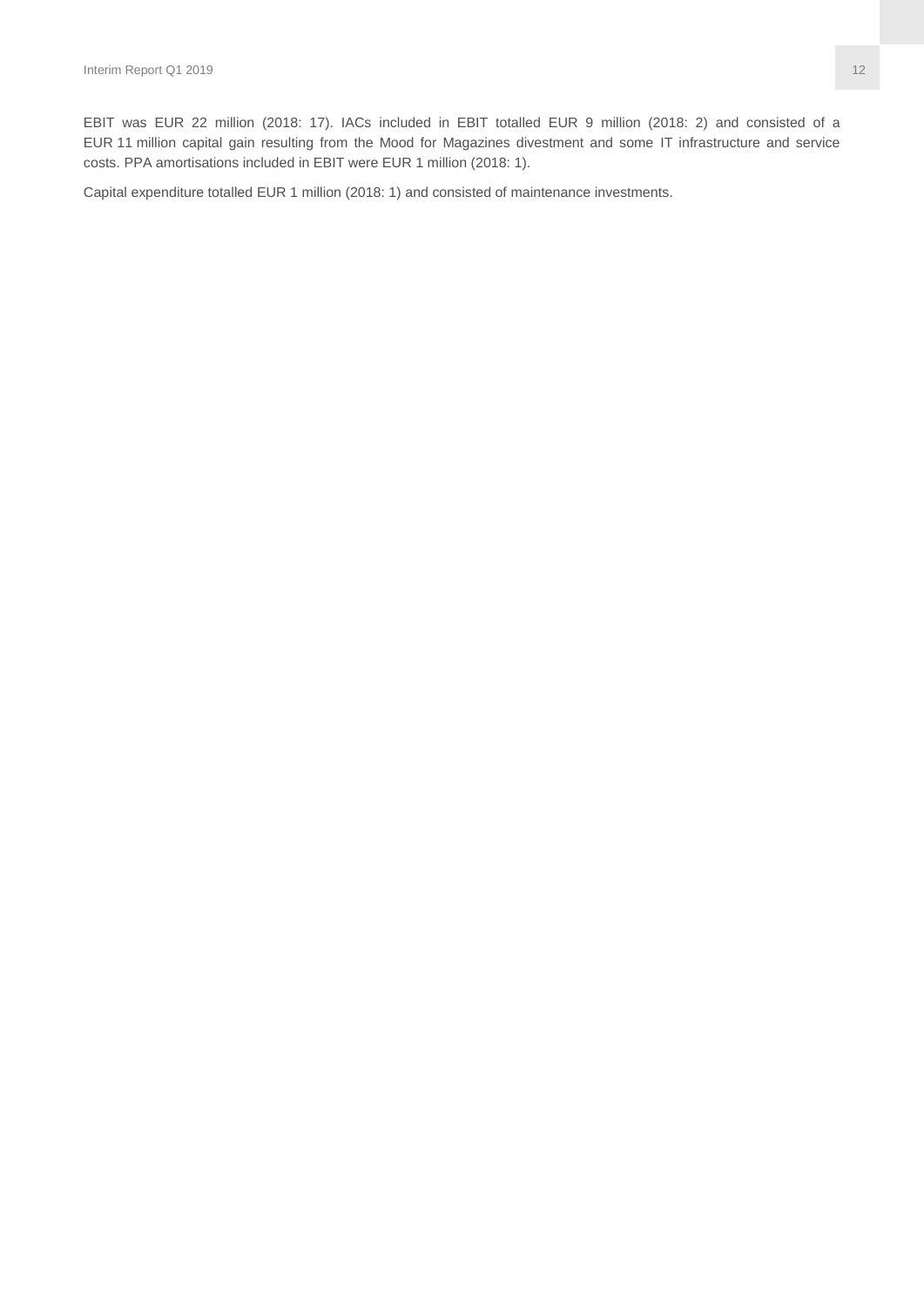EBIT was EUR 22 million (2018: 17). IACs included in EBIT totalled EUR 9 million (2018: 2) and consisted of a EUR 11 million capital gain resulting from the Mood for Magazines divestment and some IT infrastructure and service costs. PPA amortisations included in EBIT were EUR 1 million (2018: 1).

Capital expenditure totalled EUR 1 million (2018: 1) and consisted of maintenance investments.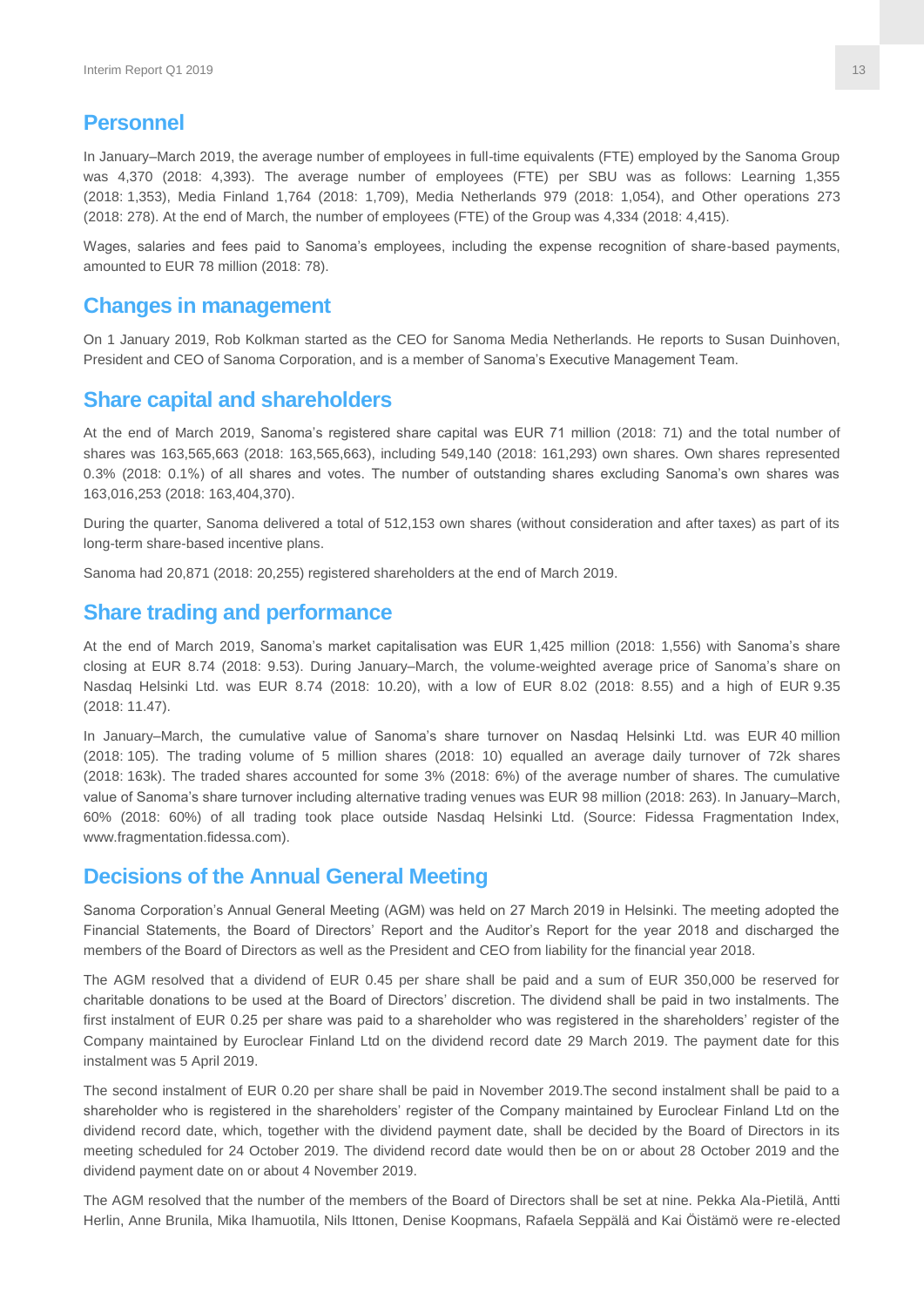#### **Personnel**

In January–March 2019, the average number of employees in full-time equivalents (FTE) employed by the Sanoma Group was 4,370 (2018: 4,393). The average number of employees (FTE) per SBU was as follows: Learning 1,355 (2018: 1,353), Media Finland 1,764 (2018: 1,709), Media Netherlands 979 (2018: 1,054), and Other operations 273 (2018: 278). At the end of March, the number of employees (FTE) of the Group was 4,334 (2018: 4,415).

Wages, salaries and fees paid to Sanoma's employees, including the expense recognition of share-based payments, amounted to EUR 78 million (2018: 78).

#### **Changes in management**

On 1 January 2019, Rob Kolkman started as the CEO for Sanoma Media Netherlands. He reports to Susan Duinhoven, President and CEO of Sanoma Corporation, and is a member of Sanoma's Executive Management Team.

# **Share capital and shareholders**

At the end of March 2019, Sanoma's registered share capital was EUR 71 million (2018: 71) and the total number of shares was 163,565,663 (2018: 163,565,663), including 549,140 (2018: 161,293) own shares. Own shares represented 0.3% (2018: 0.1%) of all shares and votes. The number of outstanding shares excluding Sanoma's own shares was 163,016,253 (2018: 163,404,370).

During the quarter, Sanoma delivered a total of 512,153 own shares (without consideration and after taxes) as part of its long-term share-based incentive plans.

Sanoma had 20,871 (2018: 20,255) registered shareholders at the end of March 2019.

#### **Share trading and performance**

At the end of March 2019, Sanoma's market capitalisation was EUR 1,425 million (2018: 1,556) with Sanoma's share closing at EUR 8.74 (2018: 9.53). During January–March, the volume-weighted average price of Sanoma's share on Nasdaq Helsinki Ltd. was EUR 8.74 (2018: 10.20), with a low of EUR 8.02 (2018: 8.55) and a high of EUR 9.35 (2018: 11.47).

In January–March, the cumulative value of Sanoma's share turnover on Nasdaq Helsinki Ltd. was EUR 40 million (2018: 105). The trading volume of 5 million shares (2018: 10) equalled an average daily turnover of 72k shares (2018: 163k). The traded shares accounted for some 3% (2018: 6%) of the average number of shares. The cumulative value of Sanoma's share turnover including alternative trading venues was EUR 98 million (2018: 263). In January–March, 60% (2018: 60%) of all trading took place outside Nasdaq Helsinki Ltd. (Source: Fidessa Fragmentation Index, www.fragmentation.fidessa.com).

#### **Decisions of the Annual General Meeting**

Sanoma Corporation's Annual General Meeting (AGM) was held on 27 March 2019 in Helsinki. The meeting adopted the Financial Statements, the Board of Directors' Report and the Auditor's Report for the year 2018 and discharged the members of the Board of Directors as well as the President and CEO from liability for the financial year 2018.

The AGM resolved that a dividend of EUR 0.45 per share shall be paid and a sum of EUR 350,000 be reserved for charitable donations to be used at the Board of Directors' discretion. The dividend shall be paid in two instalments. The first instalment of EUR 0.25 per share was paid to a shareholder who was registered in the shareholders' register of the Company maintained by Euroclear Finland Ltd on the dividend record date 29 March 2019. The payment date for this instalment was 5 April 2019.

The second instalment of EUR 0.20 per share shall be paid in November 2019.The second instalment shall be paid to a shareholder who is registered in the shareholders' register of the Company maintained by Euroclear Finland Ltd on the dividend record date, which, together with the dividend payment date, shall be decided by the Board of Directors in its meeting scheduled for 24 October 2019. The dividend record date would then be on or about 28 October 2019 and the dividend payment date on or about 4 November 2019.

The AGM resolved that the number of the members of the Board of Directors shall be set at nine. Pekka Ala-Pietilä, Antti Herlin, Anne Brunila, Mika Ihamuotila, Nils Ittonen, Denise Koopmans, Rafaela Seppälä and Kai Öistämö were re-elected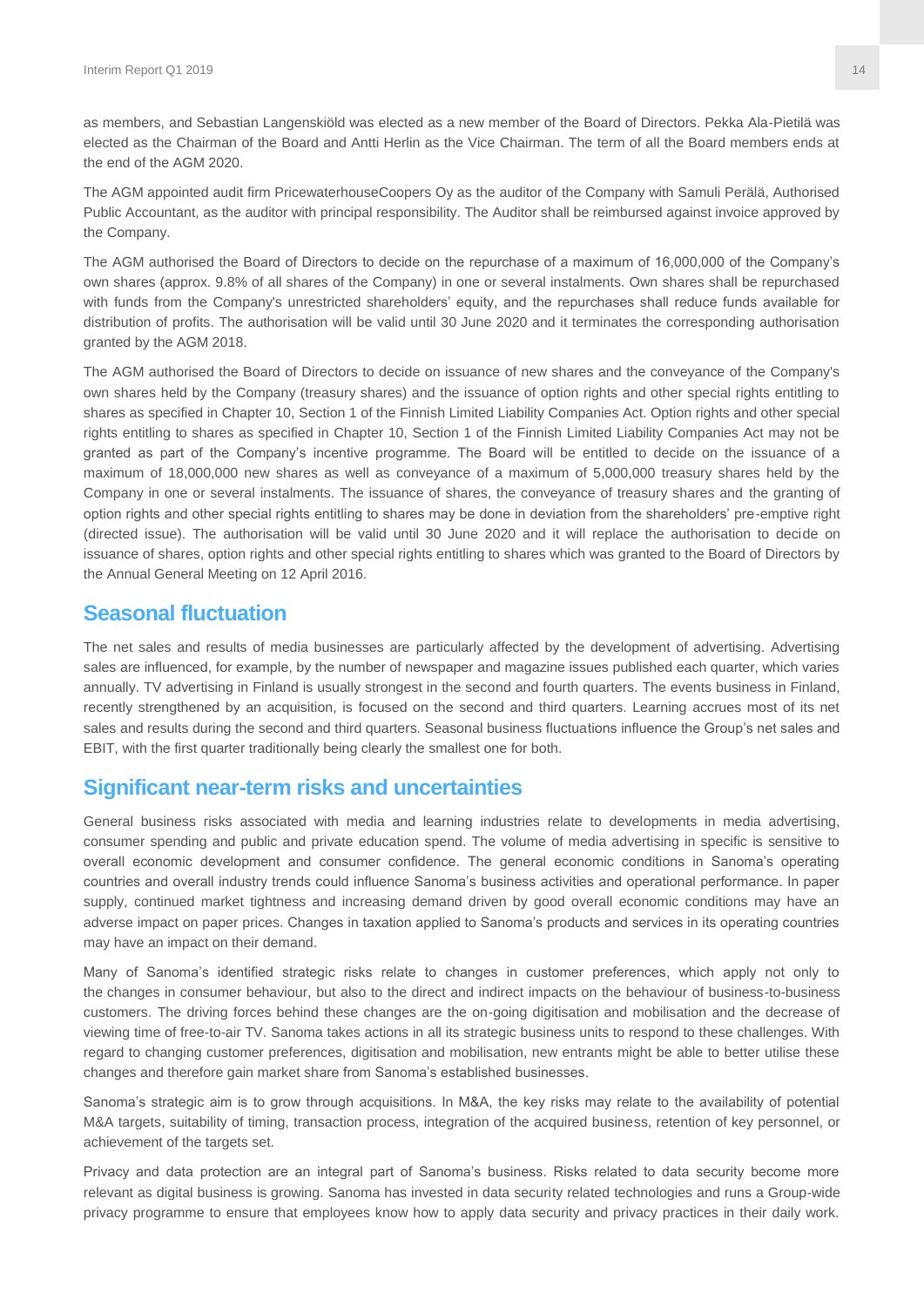as members, and Sebastian Langenskiöld was elected as a new member of the Board of Directors. Pekka Ala-Pietilä was elected as the Chairman of the Board and Antti Herlin as the Vice Chairman. The term of all the Board members ends at the end of the AGM 2020.

The AGM appointed audit firm PricewaterhouseCoopers Oy as the auditor of the Company with Samuli Perälä, Authorised Public Accountant, as the auditor with principal responsibility. The Auditor shall be reimbursed against invoice approved by the Company.

The AGM authorised the Board of Directors to decide on the repurchase of a maximum of 16,000,000 of the Company's own shares (approx. 9.8% of all shares of the Company) in one or several instalments. Own shares shall be repurchased with funds from the Company's unrestricted shareholders' equity, and the repurchases shall reduce funds available for distribution of profits. The authorisation will be valid until 30 June 2020 and it terminates the corresponding authorisation granted by the AGM 2018.

The AGM authorised the Board of Directors to decide on issuance of new shares and the conveyance of the Company's own shares held by the Company (treasury shares) and the issuance of option rights and other special rights entitling to shares as specified in Chapter 10, Section 1 of the Finnish Limited Liability Companies Act. Option rights and other special rights entitling to shares as specified in Chapter 10, Section 1 of the Finnish Limited Liability Companies Act may not be granted as part of the Company's incentive programme. The Board will be entitled to decide on the issuance of a maximum of 18,000,000 new shares as well as conveyance of a maximum of 5,000,000 treasury shares held by the Company in one or several instalments. The issuance of shares, the conveyance of treasury shares and the granting of option rights and other special rights entitling to shares may be done in deviation from the shareholders' pre-emptive right (directed issue). The authorisation will be valid until 30 June 2020 and it will replace the authorisation to decide on issuance of shares, option rights and other special rights entitling to shares which was granted to the Board of Directors by the Annual General Meeting on 12 April 2016.

#### **Seasonal fluctuation**

The net sales and results of media businesses are particularly affected by the development of advertising. Advertising sales are influenced, for example, by the number of newspaper and magazine issues published each quarter, which varies annually. TV advertising in Finland is usually strongest in the second and fourth quarters. The events business in Finland, recently strengthened by an acquisition, is focused on the second and third quarters. Learning accrues most of its net sales and results during the second and third quarters. Seasonal business fluctuations influence the Group's net sales and EBIT, with the first quarter traditionally being clearly the smallest one for both.

#### **Significant near-term risks and uncertainties**

General business risks associated with media and learning industries relate to developments in media advertising, consumer spending and public and private education spend. The volume of media advertising in specific is sensitive to overall economic development and consumer confidence. The general economic conditions in Sanoma's operating countries and overall industry trends could influence Sanoma's business activities and operational performance. In paper supply, continued market tightness and increasing demand driven by good overall economic conditions may have an adverse impact on paper prices. Changes in taxation applied to Sanoma's products and services in its operating countries may have an impact on their demand.

Many of Sanoma's identified strategic risks relate to changes in customer preferences, which apply not only to the changes in consumer behaviour, but also to the direct and indirect impacts on the behaviour of business-to-business customers. The driving forces behind these changes are the on-going digitisation and mobilisation and the decrease of viewing time of free-to-air TV. Sanoma takes actions in all its strategic business units to respond to these challenges. With regard to changing customer preferences, digitisation and mobilisation, new entrants might be able to better utilise these changes and therefore gain market share from Sanoma's established businesses.

Sanoma's strategic aim is to grow through acquisitions. In M&A, the key risks may relate to the availability of potential M&A targets, suitability of timing, transaction process, integration of the acquired business, retention of key personnel, or achievement of the targets set.

Privacy and data protection are an integral part of Sanoma's business. Risks related to data security become more relevant as digital business is growing. Sanoma has invested in data security related technologies and runs a Group-wide privacy programme to ensure that employees know how to apply data security and privacy practices in their daily work.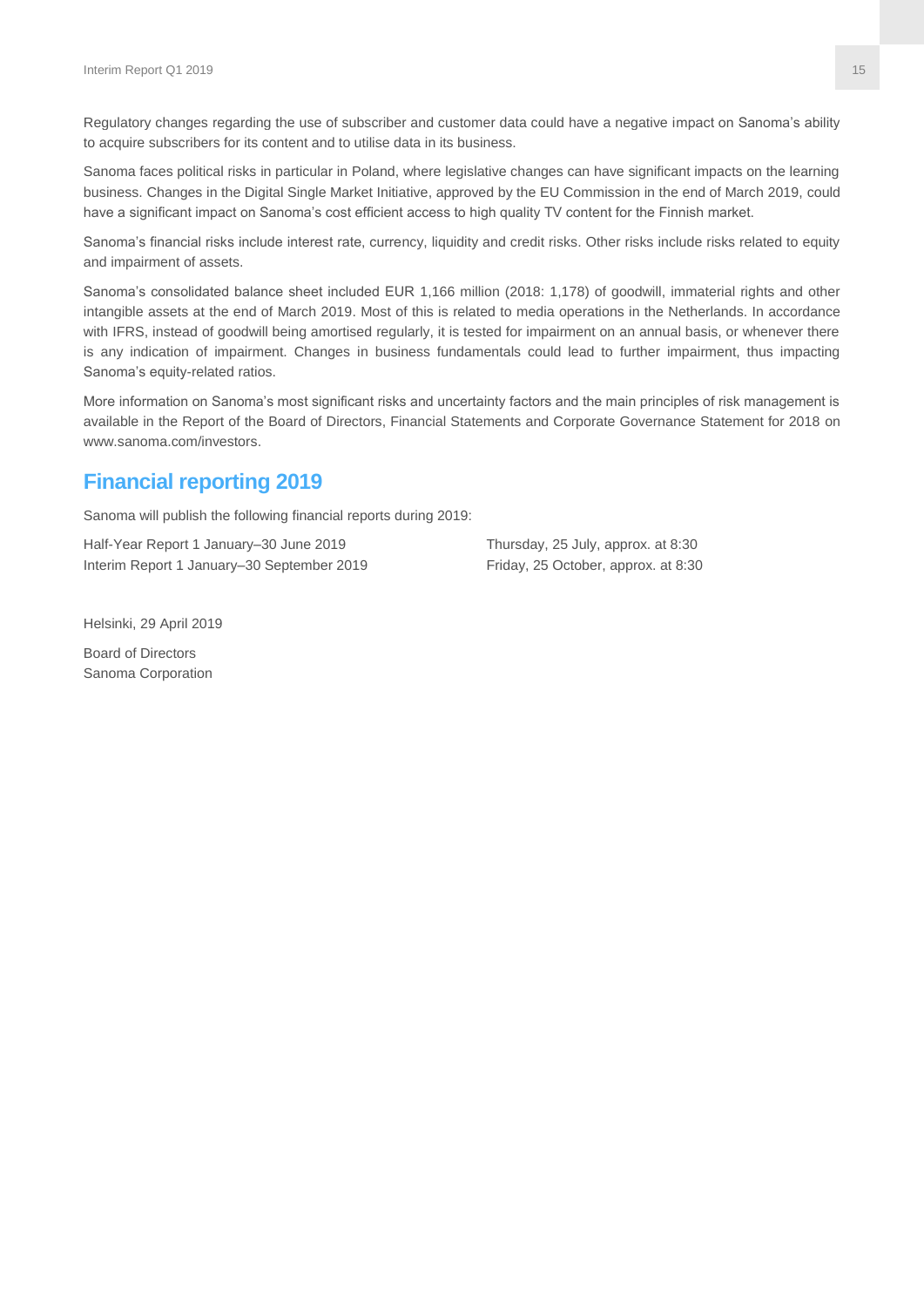Regulatory changes regarding the use of subscriber and customer data could have a negative impact on Sanoma's ability to acquire subscribers for its content and to utilise data in its business.

Sanoma faces political risks in particular in Poland, where legislative changes can have significant impacts on the learning business. Changes in the Digital Single Market Initiative, approved by the EU Commission in the end of March 2019, could have a significant impact on Sanoma's cost efficient access to high quality TV content for the Finnish market.

Sanoma's financial risks include interest rate, currency, liquidity and credit risks. Other risks include risks related to equity and impairment of assets.

Sanoma's consolidated balance sheet included EUR 1,166 million (2018: 1,178) of goodwill, immaterial rights and other intangible assets at the end of March 2019. Most of this is related to media operations in the Netherlands. In accordance with IFRS, instead of goodwill being amortised regularly, it is tested for impairment on an annual basis, or whenever there is any indication of impairment. Changes in business fundamentals could lead to further impairment, thus impacting Sanoma's equity-related ratios.

More information on Sanoma's most significant risks and uncertainty factors and the main principles of risk management is available in the Report of the Board of Directors, Financial Statements and Corporate Governance Statement for 2018 on www.sanoma.com/investors.

# **Financial reporting 2019**

Sanoma will publish the following financial reports during 2019:

Half-Year Report 1 January–30 June 2019 Thursday, 25 July, approx. at 8:30 Interim Report 1 January–30 September 2019 Friday, 25 October, approx. at 8:30

Helsinki, 29 April 2019

Board of Directors Sanoma Corporation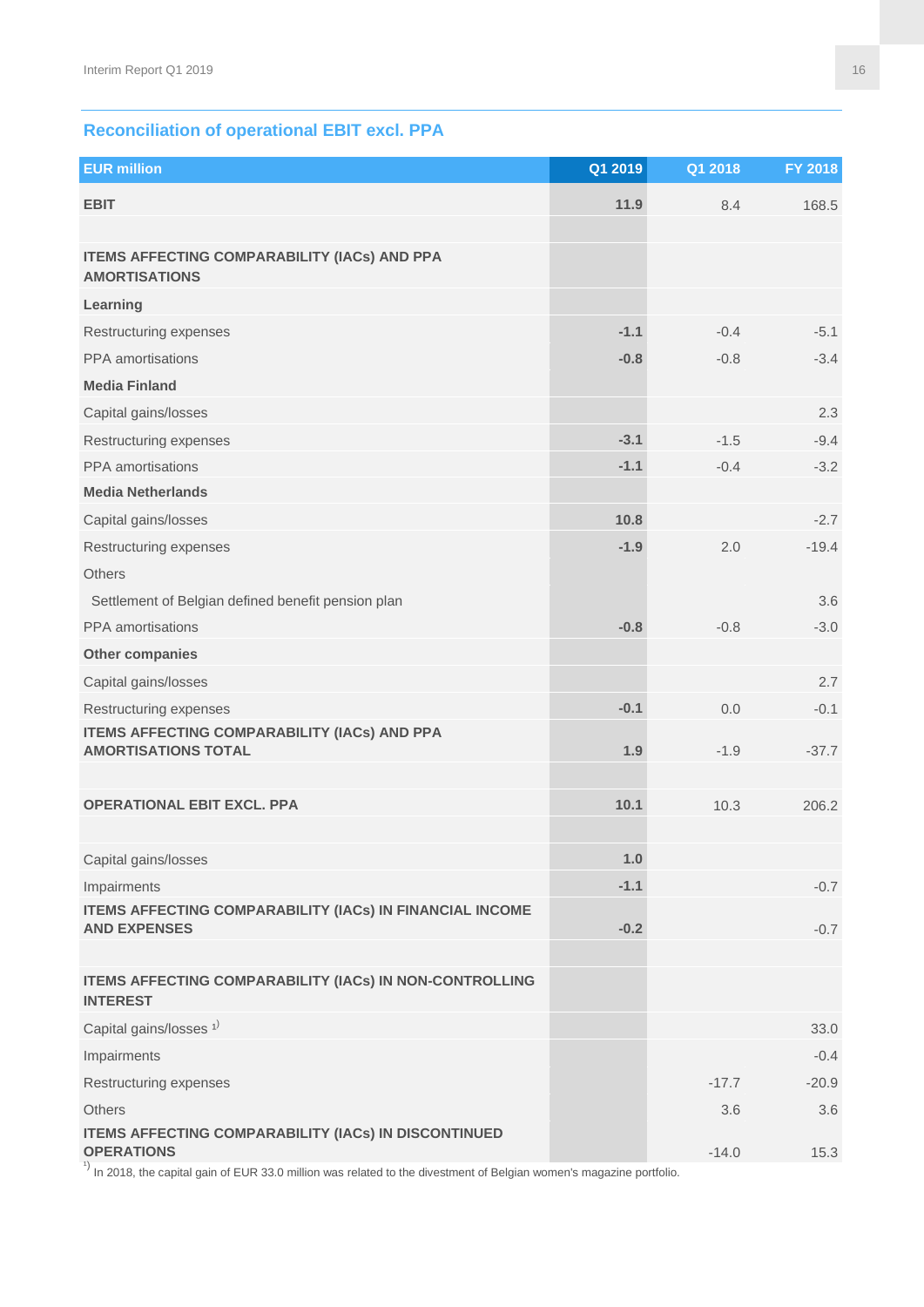# **Reconciliation of operational EBIT excl. PPA**

| <b>EUR million</b>                                                                                                 | Q1 2019 | Q1 2018 | FY 2018 |
|--------------------------------------------------------------------------------------------------------------------|---------|---------|---------|
| <b>EBIT</b>                                                                                                        | 11.9    | 8.4     | 168.5   |
|                                                                                                                    |         |         |         |
| <b>ITEMS AFFECTING COMPARABILITY (IACs) AND PPA</b><br><b>AMORTISATIONS</b>                                        |         |         |         |
| Learning                                                                                                           |         |         |         |
| Restructuring expenses                                                                                             | $-1.1$  | $-0.4$  | $-5.1$  |
| PPA amortisations                                                                                                  | $-0.8$  | $-0.8$  | $-3.4$  |
| <b>Media Finland</b>                                                                                               |         |         |         |
| Capital gains/losses                                                                                               |         |         | 2.3     |
| Restructuring expenses                                                                                             | $-3.1$  | $-1.5$  | $-9.4$  |
| PPA amortisations                                                                                                  | $-1.1$  | $-0.4$  | $-3.2$  |
| <b>Media Netherlands</b>                                                                                           |         |         |         |
| Capital gains/losses                                                                                               | 10.8    |         | $-2.7$  |
| Restructuring expenses                                                                                             | $-1.9$  | 2.0     | $-19.4$ |
| <b>Others</b>                                                                                                      |         |         |         |
| Settlement of Belgian defined benefit pension plan                                                                 |         |         | 3.6     |
| PPA amortisations                                                                                                  | $-0.8$  | $-0.8$  | $-3.0$  |
| Other companies                                                                                                    |         |         |         |
| Capital gains/losses                                                                                               |         |         | 2.7     |
| Restructuring expenses                                                                                             | $-0.1$  | 0.0     | $-0.1$  |
| <b>ITEMS AFFECTING COMPARABILITY (IACs) AND PPA</b><br><b>AMORTISATIONS TOTAL</b>                                  | 1.9     | $-1.9$  | $-37.7$ |
|                                                                                                                    |         |         |         |
| <b>OPERATIONAL EBIT EXCL. PPA</b>                                                                                  | 10.1    | 10.3    | 206.2   |
|                                                                                                                    |         |         |         |
| Capital gains/losses                                                                                               | 1.0     |         |         |
| Impairments                                                                                                        | $-1.1$  |         | $-0.7$  |
| <b>ITEMS AFFECTING COMPARABILITY (IACs) IN FINANCIAL INCOME</b>                                                    |         |         |         |
| <b>AND EXPENSES</b>                                                                                                | $-0.2$  |         | $-0.7$  |
| ITEMS AFFECTING COMPARABILITY (IACs) IN NON-CONTROLLING<br><b>INTEREST</b>                                         |         |         |         |
| Capital gains/losses <sup>1)</sup>                                                                                 |         |         | 33.0    |
| Impairments                                                                                                        |         |         | $-0.4$  |
| Restructuring expenses                                                                                             |         | $-17.7$ | $-20.9$ |
| <b>Others</b>                                                                                                      |         | 3.6     | 3.6     |
| <b>ITEMS AFFECTING COMPARABILITY (IACs) IN DISCONTINUED</b><br><b>OPERATIONS</b>                                   |         | $-14.0$ | 15.3    |
| In 2018, the capital gain of EUR 33.0 million was related to the divestment of Belgian women's magazine portfolio. |         |         |         |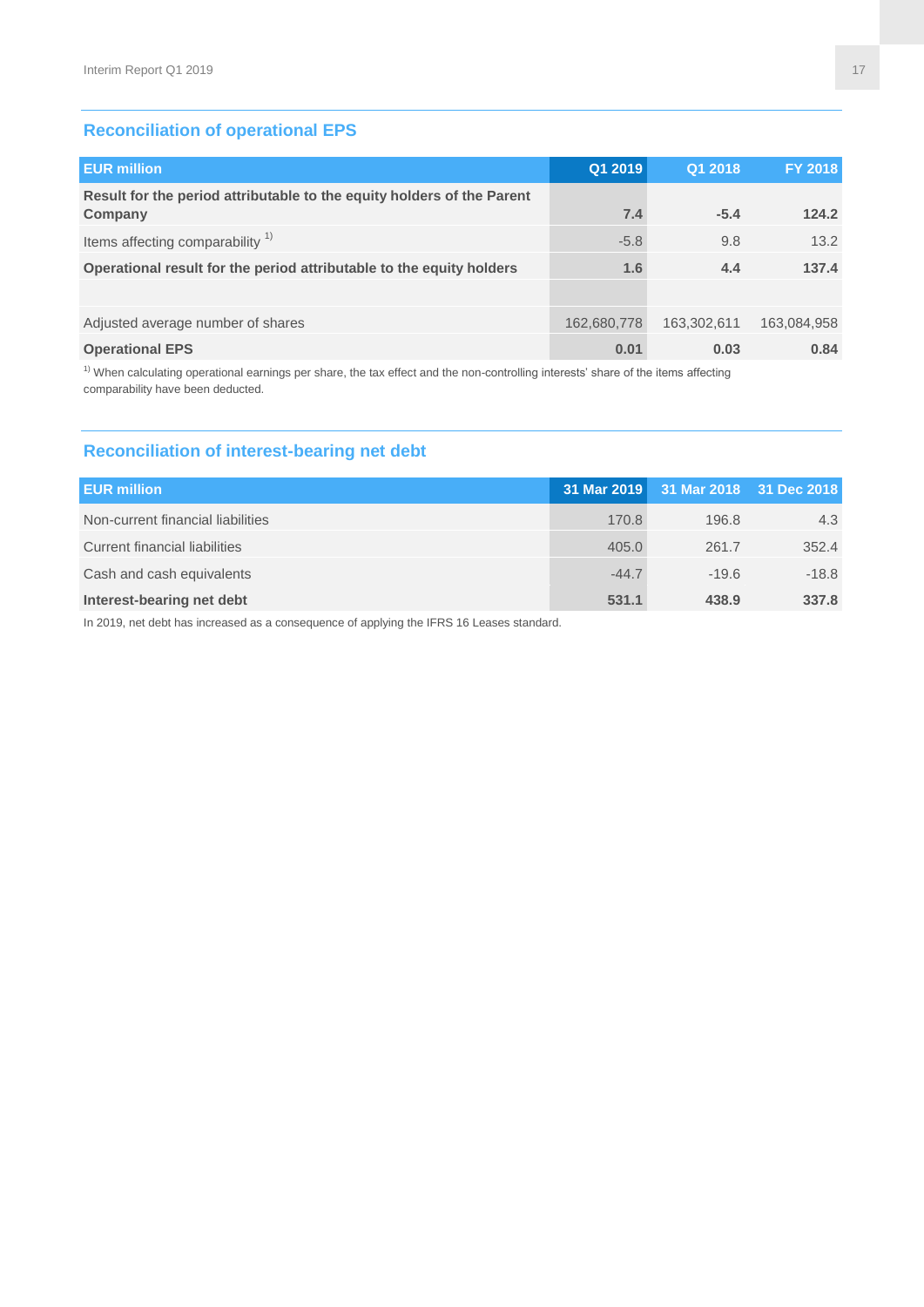# **Reconciliation of operational EPS**

| <b>EUR million</b>                                                                | Q1 2019     | Q1 2018     | <b>FY 2018</b> |
|-----------------------------------------------------------------------------------|-------------|-------------|----------------|
| Result for the period attributable to the equity holders of the Parent<br>Company | 7.4         | $-5.4$      | 124.2          |
|                                                                                   |             |             |                |
| Items affecting comparability <sup>1)</sup>                                       | $-5.8$      | 9.8         | 13.2           |
| Operational result for the period attributable to the equity holders              | 1.6         | 4.4         | 137.4          |
|                                                                                   |             |             |                |
| Adjusted average number of shares                                                 | 162,680,778 | 163,302,611 | 163,084,958    |
| <b>Operational EPS</b>                                                            | 0.01        | 0.03        | 0.84           |

 $1)$  When calculating operational earnings per share, the tax effect and the non-controlling interests' share of the items affecting comparability have been deducted.

#### **Reconciliation of interest-bearing net debt**

| <b>EUR million</b>                |         | 31 Mar 2019 31 Mar 2018 31 Dec 2018 |         |
|-----------------------------------|---------|-------------------------------------|---------|
| Non-current financial liabilities | 170.8   | 196.8                               | 4.3     |
| Current financial liabilities     | 405.0   | 261.7                               | 352.4   |
| Cash and cash equivalents         | $-44.7$ | $-19.6$                             | $-18.8$ |
| Interest-bearing net debt         | 531.1   | 438.9                               | 337.8   |

In 2019, net debt has increased as a consequence of applying the IFRS 16 Leases standard.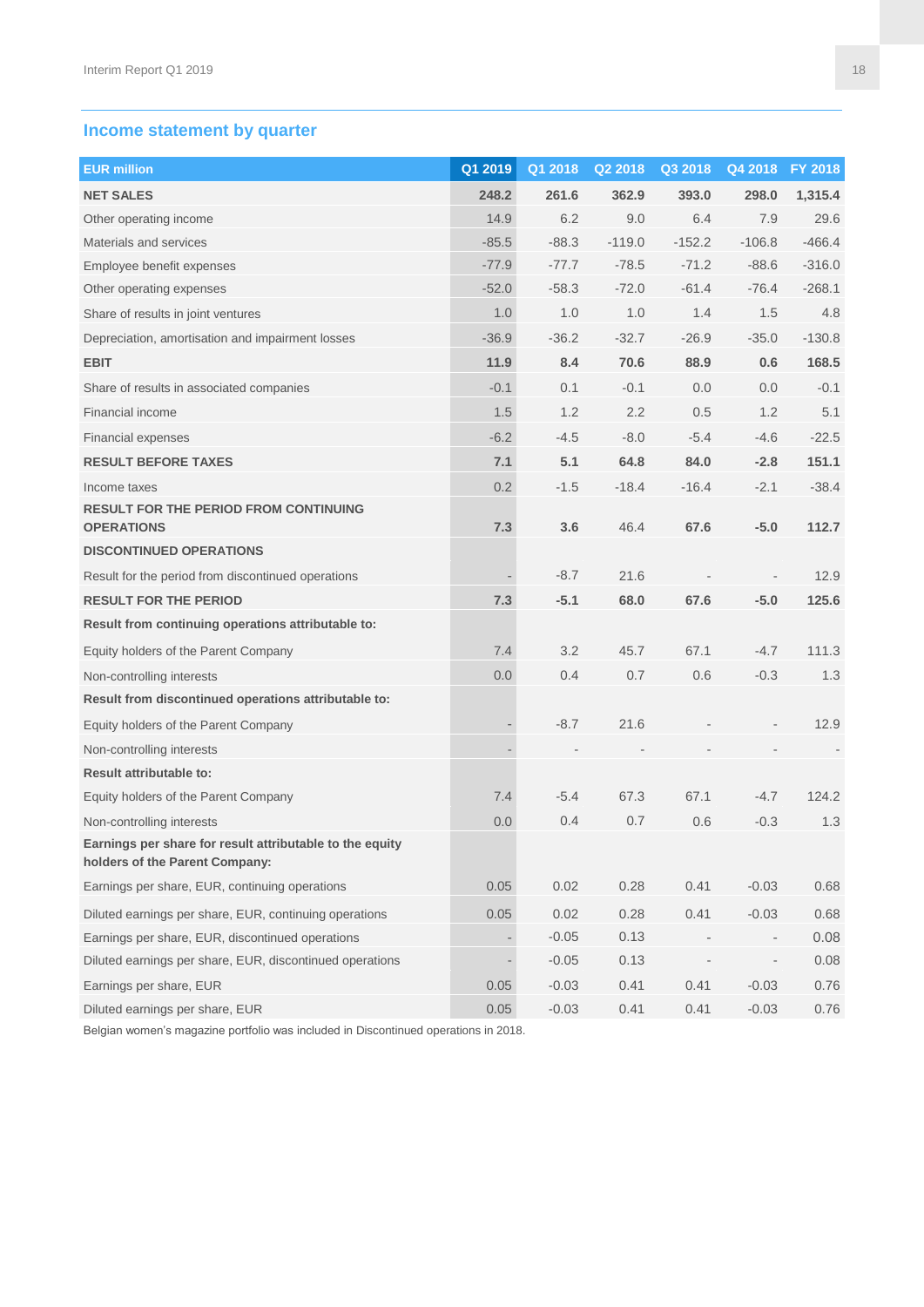# **Income statement by quarter**

| <b>EUR million</b>                                                                         | Q1 2019 | Q1 2018 | Q2 2018  | Q3 2018  | Q4 2018  | <b>FY 2018</b> |
|--------------------------------------------------------------------------------------------|---------|---------|----------|----------|----------|----------------|
| <b>NET SALES</b>                                                                           | 248.2   | 261.6   | 362.9    | 393.0    | 298.0    | 1,315.4        |
| Other operating income                                                                     | 14.9    | 6.2     | 9.0      | 6.4      | 7.9      | 29.6           |
| Materials and services                                                                     | $-85.5$ | $-88.3$ | $-119.0$ | $-152.2$ | $-106.8$ | $-466.4$       |
| Employee benefit expenses                                                                  | $-77.9$ | $-77.7$ | $-78.5$  | $-71.2$  | $-88.6$  | $-316.0$       |
| Other operating expenses                                                                   | $-52.0$ | $-58.3$ | $-72.0$  | $-61.4$  | $-76.4$  | $-268.1$       |
| Share of results in joint ventures                                                         | 1.0     | 1.0     | 1.0      | 1.4      | 1.5      | 4.8            |
| Depreciation, amortisation and impairment losses                                           | $-36.9$ | $-36.2$ | $-32.7$  | $-26.9$  | $-35.0$  | $-130.8$       |
| <b>EBIT</b>                                                                                | 11.9    | 8.4     | 70.6     | 88.9     | 0.6      | 168.5          |
| Share of results in associated companies                                                   | $-0.1$  | 0.1     | $-0.1$   | 0.0      | 0.0      | $-0.1$         |
| Financial income                                                                           | 1.5     | 1.2     | 2.2      | 0.5      | 1.2      | 5.1            |
| Financial expenses                                                                         | $-6.2$  | $-4.5$  | $-8.0$   | $-5.4$   | $-4.6$   | $-22.5$        |
| <b>RESULT BEFORE TAXES</b>                                                                 | 7.1     | 5.1     | 64.8     | 84.0     | $-2.8$   | 151.1          |
| Income taxes                                                                               | 0.2     | $-1.5$  | $-18.4$  | $-16.4$  | $-2.1$   | $-38.4$        |
| <b>RESULT FOR THE PERIOD FROM CONTINUING</b><br><b>OPERATIONS</b>                          | 7.3     | 3.6     | 46.4     | 67.6     | $-5.0$   | 112.7          |
| <b>DISCONTINUED OPERATIONS</b>                                                             |         |         |          |          |          |                |
| Result for the period from discontinued operations                                         |         | $-8.7$  | 21.6     |          |          | 12.9           |
| <b>RESULT FOR THE PERIOD</b>                                                               | 7.3     | $-5.1$  | 68.0     | 67.6     | $-5.0$   | 125.6          |
| Result from continuing operations attributable to:                                         |         |         |          |          |          |                |
| Equity holders of the Parent Company                                                       | 7.4     | 3.2     | 45.7     | 67.1     | $-4.7$   | 111.3          |
| Non-controlling interests                                                                  | 0.0     | 0.4     | 0.7      | 0.6      | $-0.3$   | 1.3            |
| Result from discontinued operations attributable to:                                       |         |         |          |          |          |                |
| Equity holders of the Parent Company                                                       |         | $-8.7$  | 21.6     |          |          | 12.9           |
| Non-controlling interests                                                                  |         |         |          |          |          |                |
| <b>Result attributable to:</b>                                                             |         |         |          |          |          |                |
| Equity holders of the Parent Company                                                       | 7.4     | $-5.4$  | 67.3     | 67.1     | $-4.7$   | 124.2          |
| Non-controlling interests                                                                  | 0.0     | 0.4     | 0.7      | 0.6      | $-0.3$   | 1.3            |
| Earnings per share for result attributable to the equity<br>holders of the Parent Company: |         |         |          |          |          |                |
| Earnings per share, EUR, continuing operations                                             | 0.05    | 0.02    | 0.28     | 0.41     | $-0.03$  | 0.68           |
| Diluted earnings per share, EUR, continuing operations                                     | 0.05    | 0.02    | 0.28     | 0.41     | $-0.03$  | 0.68           |
| Earnings per share, EUR, discontinued operations                                           |         | $-0.05$ | 0.13     |          |          | 0.08           |
| Diluted earnings per share, EUR, discontinued operations                                   |         | $-0.05$ | 0.13     |          |          | 0.08           |
| Earnings per share, EUR                                                                    | 0.05    | $-0.03$ | 0.41     | 0.41     | $-0.03$  | 0.76           |
| Diluted earnings per share, EUR                                                            | 0.05    | $-0.03$ | 0.41     | 0.41     | $-0.03$  | 0.76           |

Belgian women's magazine portfolio was included in Discontinued operations in 2018.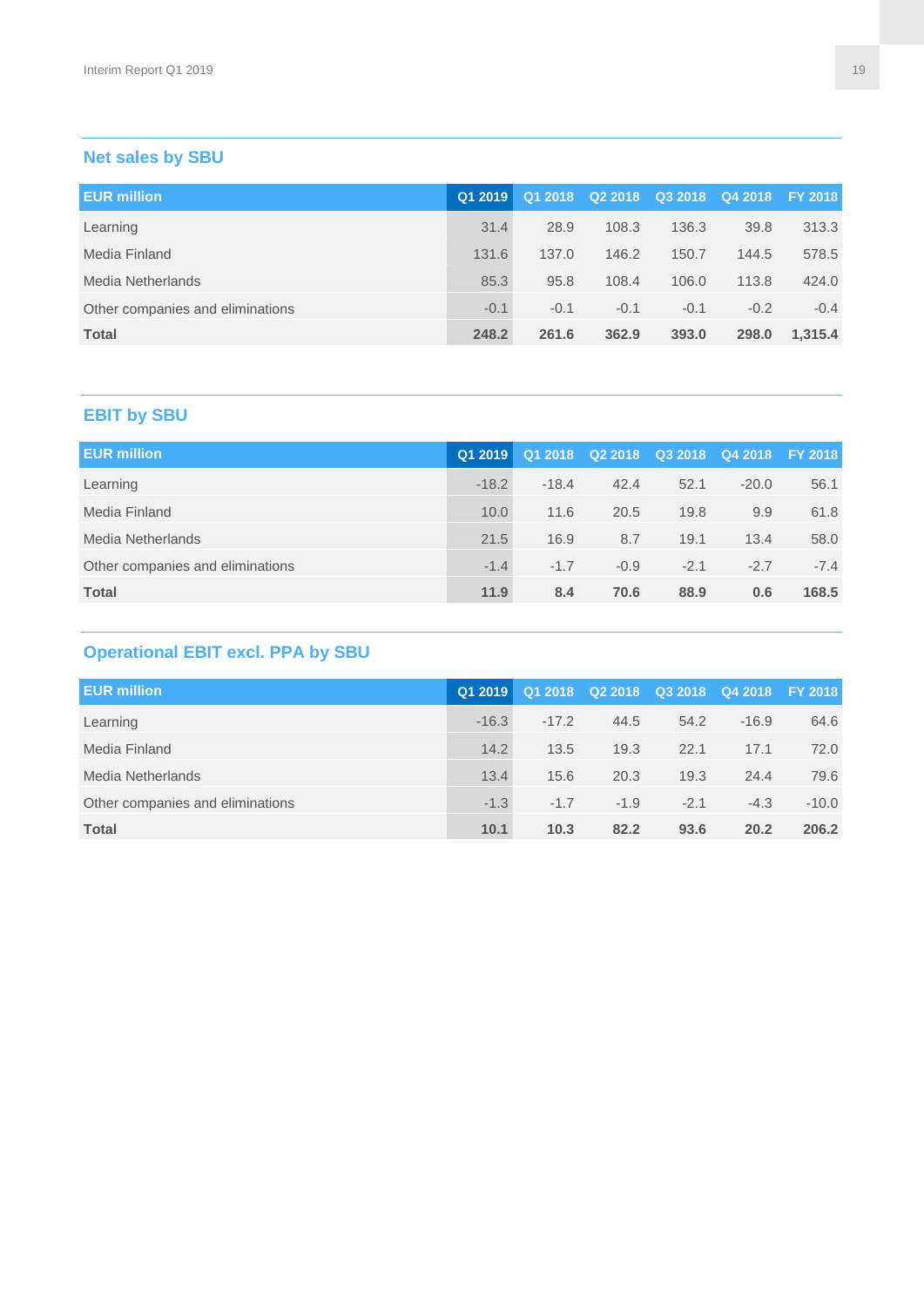# **Net sales by SBU**

| <b>EUR million</b>               | Q1 2019 |        |        |        | Q1 2018 Q2 2018 Q3 2018 Q4 2018 FY 2018 |         |
|----------------------------------|---------|--------|--------|--------|-----------------------------------------|---------|
| Learning                         | 31.4    | 28.9   | 108.3  | 136.3  | 39.8                                    | 313.3   |
| Media Finland                    | 131.6   | 137.0  | 146.2  | 150.7  | 144.5                                   | 578.5   |
| Media Netherlands                | 85.3    | 95.8   | 108.4  | 106.0  | 113.8                                   | 424.0   |
| Other companies and eliminations | $-0.1$  | $-0.1$ | $-0.1$ | $-0.1$ | $-0.2$                                  | $-0.4$  |
| <b>Total</b>                     | 248.2   | 261.6  | 362.9  | 393.0  | 298.0                                   | 1,315.4 |

# **EBIT by SBU**

| <b>EUR million</b>               | Q1 2019 |         |        |        | Q1 2018 Q2 2018 Q3 2018 Q4 2018 FY 2018 |        |
|----------------------------------|---------|---------|--------|--------|-----------------------------------------|--------|
| Learning                         | $-18.2$ | $-18.4$ | 42.4   | 52.1   | $-20.0$                                 | 56.1   |
| Media Finland                    | 10.0    | 11.6    | 20.5   | 19.8   | 9.9                                     | 61.8   |
| Media Netherlands                | 21.5    | 16.9    | 8.7    | 19.1   | 13.4                                    | 58.0   |
| Other companies and eliminations | $-1.4$  | $-1.7$  | $-0.9$ | $-2.1$ | $-2.7$                                  | $-7.4$ |
| <b>Total</b>                     | 11.9    | 8.4     | 70.6   | 88.9   | 0.6                                     | 168.5  |

# **Operational EBIT excl. PPA by SBU**

| <b>EUR million</b>               | Q1 2019 | Q1 2018 |        |        | Q2 2018 Q3 2018 Q4 2018 FY 2018 |         |
|----------------------------------|---------|---------|--------|--------|---------------------------------|---------|
| Learning                         | $-16.3$ | $-17.2$ | 44.5   | 54.2   | $-16.9$                         | 64.6    |
| Media Finland                    | 14.2    | 13.5    | 19.3   | 22.1   | 17.1                            | 72.0    |
| Media Netherlands                | 13.4    | 15.6    | 20.3   | 19.3   | 24.4                            | 79.6    |
| Other companies and eliminations | $-1.3$  | $-1.7$  | $-1.9$ | $-2.1$ | $-4.3$                          | $-10.0$ |
| <b>Total</b>                     | 10.1    | 10.3    | 82.2   | 93.6   | 20.2                            | 206.2   |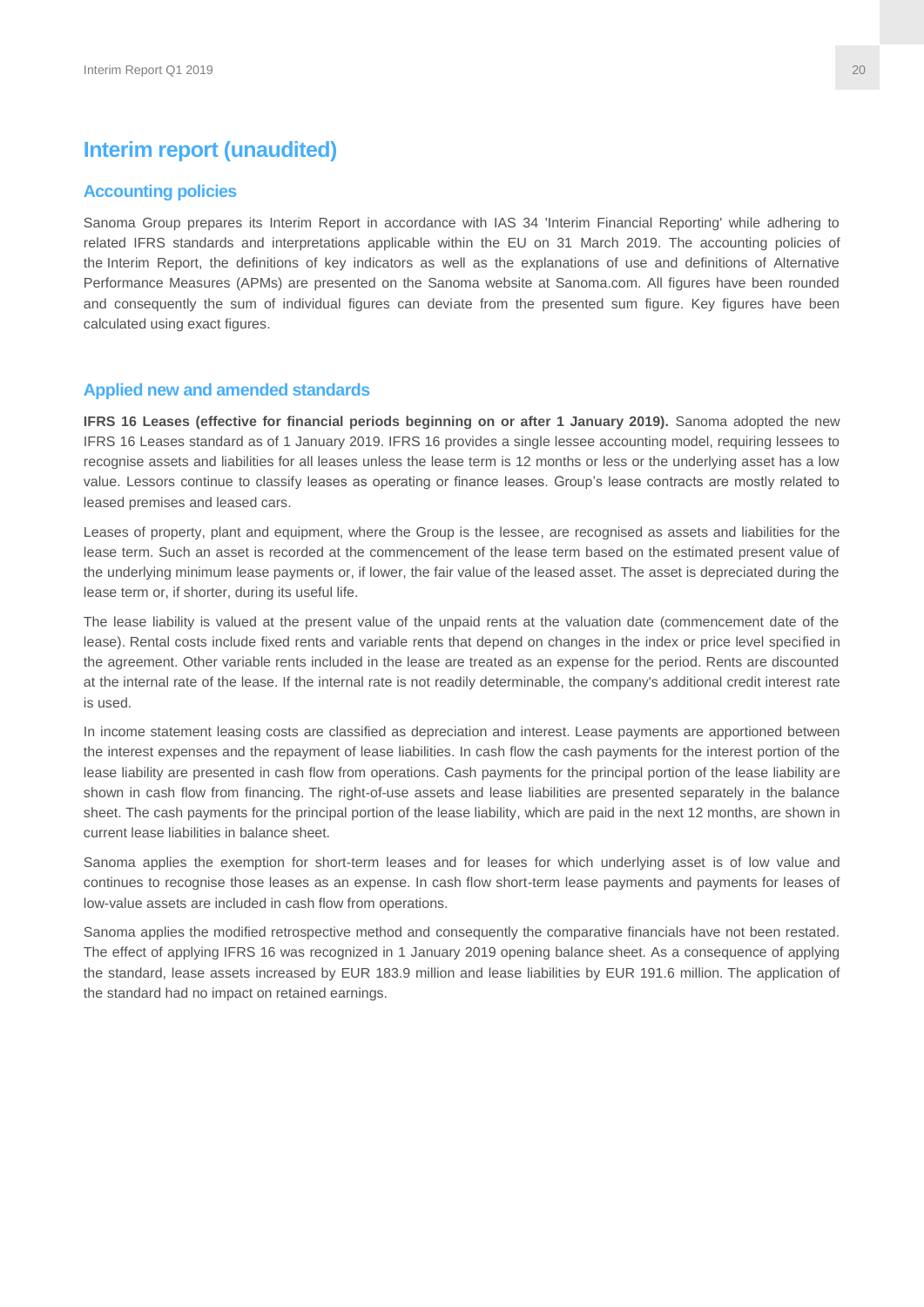#### **Interim report (unaudited)**

#### **Accounting policies**

Sanoma Group prepares its Interim Report in accordance with IAS 34 'Interim Financial Reporting' while adhering to related IFRS standards and interpretations applicable within the EU on 31 March 2019. The accounting policies of the Interim Report, the definitions of key indicators as well as the explanations of use and definitions of Alternative Performance Measures (APMs) are presented on the Sanoma website at Sanoma.com. All figures have been rounded and consequently the sum of individual figures can deviate from the presented sum figure. Key figures have been calculated using exact figures.

#### **Applied new and amended standards**

**IFRS 16 Leases (effective for financial periods beginning on or after 1 January 2019).** Sanoma adopted the new IFRS 16 Leases standard as of 1 January 2019. IFRS 16 provides a single lessee accounting model, requiring lessees to recognise assets and liabilities for all leases unless the lease term is 12 months or less or the underlying asset has a low value. Lessors continue to classify leases as operating or finance leases. Group's lease contracts are mostly related to leased premises and leased cars.

Leases of property, plant and equipment, where the Group is the lessee, are recognised as assets and liabilities for the lease term. Such an asset is recorded at the commencement of the lease term based on the estimated present value of the underlying minimum lease payments or, if lower, the fair value of the leased asset. The asset is depreciated during the lease term or, if shorter, during its useful life.

The lease liability is valued at the present value of the unpaid rents at the valuation date (commencement date of the lease). Rental costs include fixed rents and variable rents that depend on changes in the index or price level specified in the agreement. Other variable rents included in the lease are treated as an expense for the period. Rents are discounted at the internal rate of the lease. If the internal rate is not readily determinable, the company's additional credit interest rate is used.

In income statement leasing costs are classified as depreciation and interest. Lease payments are apportioned between the interest expenses and the repayment of lease liabilities. In cash flow the cash payments for the interest portion of the lease liability are presented in cash flow from operations. Cash payments for the principal portion of the lease liability are shown in cash flow from financing. The right-of-use assets and lease liabilities are presented separately in the balance sheet. The cash payments for the principal portion of the lease liability, which are paid in the next 12 months, are shown in current lease liabilities in balance sheet.

Sanoma applies the exemption for short-term leases and for leases for which underlying asset is of low value and continues to recognise those leases as an expense. In cash flow short-term lease payments and payments for leases of low-value assets are included in cash flow from operations.

Sanoma applies the modified retrospective method and consequently the comparative financials have not been restated. The effect of applying IFRS 16 was recognized in 1 January 2019 opening balance sheet. As a consequence of applying the standard, lease assets increased by EUR 183.9 million and lease liabilities by EUR 191.6 million. The application of the standard had no impact on retained earnings.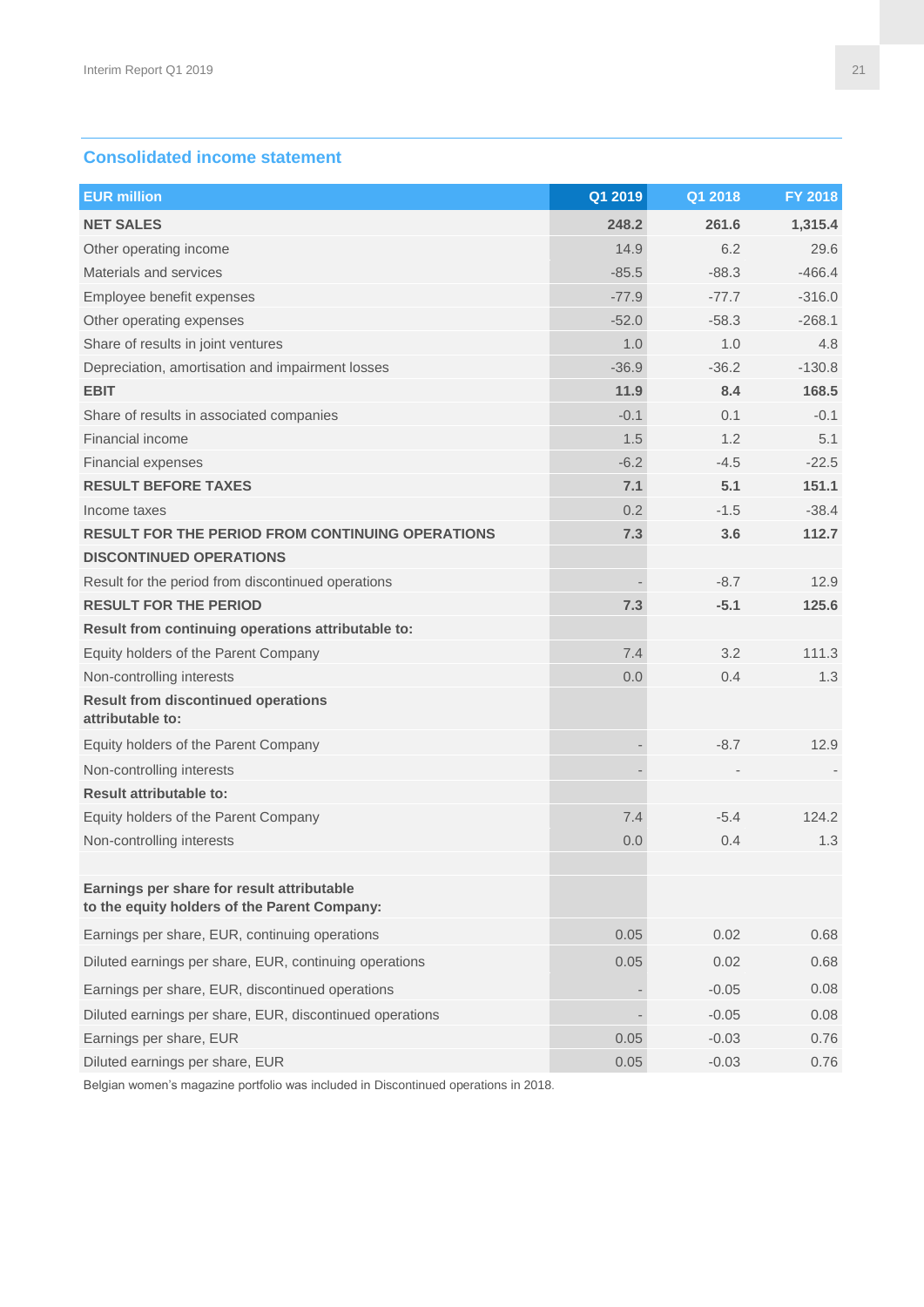# **Consolidated income statement**

| <b>EUR million</b>                                                                         | Q1 2019 | Q1 2018 | FY 2018  |
|--------------------------------------------------------------------------------------------|---------|---------|----------|
| <b>NET SALES</b>                                                                           | 248.2   | 261.6   | 1,315.4  |
| Other operating income                                                                     | 14.9    | 6.2     | 29.6     |
| Materials and services                                                                     | $-85.5$ | $-88.3$ | $-466.4$ |
| Employee benefit expenses                                                                  | $-77.9$ | $-77.7$ | $-316.0$ |
| Other operating expenses                                                                   | $-52.0$ | $-58.3$ | $-268.1$ |
| Share of results in joint ventures                                                         | 1.0     | 1.0     | 4.8      |
| Depreciation, amortisation and impairment losses                                           | $-36.9$ | $-36.2$ | $-130.8$ |
| <b>EBIT</b>                                                                                | 11.9    | 8.4     | 168.5    |
| Share of results in associated companies                                                   | $-0.1$  | 0.1     | $-0.1$   |
| Financial income                                                                           | 1.5     | 1.2     | 5.1      |
| <b>Financial expenses</b>                                                                  | $-6.2$  | $-4.5$  | $-22.5$  |
| <b>RESULT BEFORE TAXES</b>                                                                 | 7.1     | 5.1     | 151.1    |
| Income taxes                                                                               | 0.2     | $-1.5$  | $-38.4$  |
| <b>RESULT FOR THE PERIOD FROM CONTINUING OPERATIONS</b>                                    | 7.3     | 3.6     | 112.7    |
| <b>DISCONTINUED OPERATIONS</b>                                                             |         |         |          |
| Result for the period from discontinued operations                                         |         | $-8.7$  | 12.9     |
| <b>RESULT FOR THE PERIOD</b>                                                               | 7.3     | $-5.1$  | 125.6    |
| Result from continuing operations attributable to:                                         |         |         |          |
| Equity holders of the Parent Company                                                       | 7.4     | 3.2     | 111.3    |
| Non-controlling interests                                                                  | 0.0     | 0.4     | 1.3      |
| <b>Result from discontinued operations</b><br>attributable to:                             |         |         |          |
| Equity holders of the Parent Company                                                       |         | $-8.7$  | 12.9     |
| Non-controlling interests                                                                  |         |         |          |
| <b>Result attributable to:</b>                                                             |         |         |          |
| Equity holders of the Parent Company                                                       | 7.4     | $-5.4$  | 124.2    |
| Non-controlling interests                                                                  | 0.0     | 0.4     | 1.3      |
| Earnings per share for result attributable<br>to the equity holders of the Parent Company: |         |         |          |
| Earnings per share, EUR, continuing operations                                             | 0.05    | 0.02    | 0.68     |
| Diluted earnings per share, EUR, continuing operations                                     | 0.05    | 0.02    | 0.68     |
| Earnings per share, EUR, discontinued operations                                           |         | $-0.05$ | 0.08     |
| Diluted earnings per share, EUR, discontinued operations                                   |         | $-0.05$ | 0.08     |
| Earnings per share, EUR                                                                    | 0.05    | $-0.03$ | 0.76     |
| Diluted earnings per share, EUR                                                            | 0.05    | $-0.03$ | 0.76     |

Belgian women's magazine portfolio was included in Discontinued operations in 2018.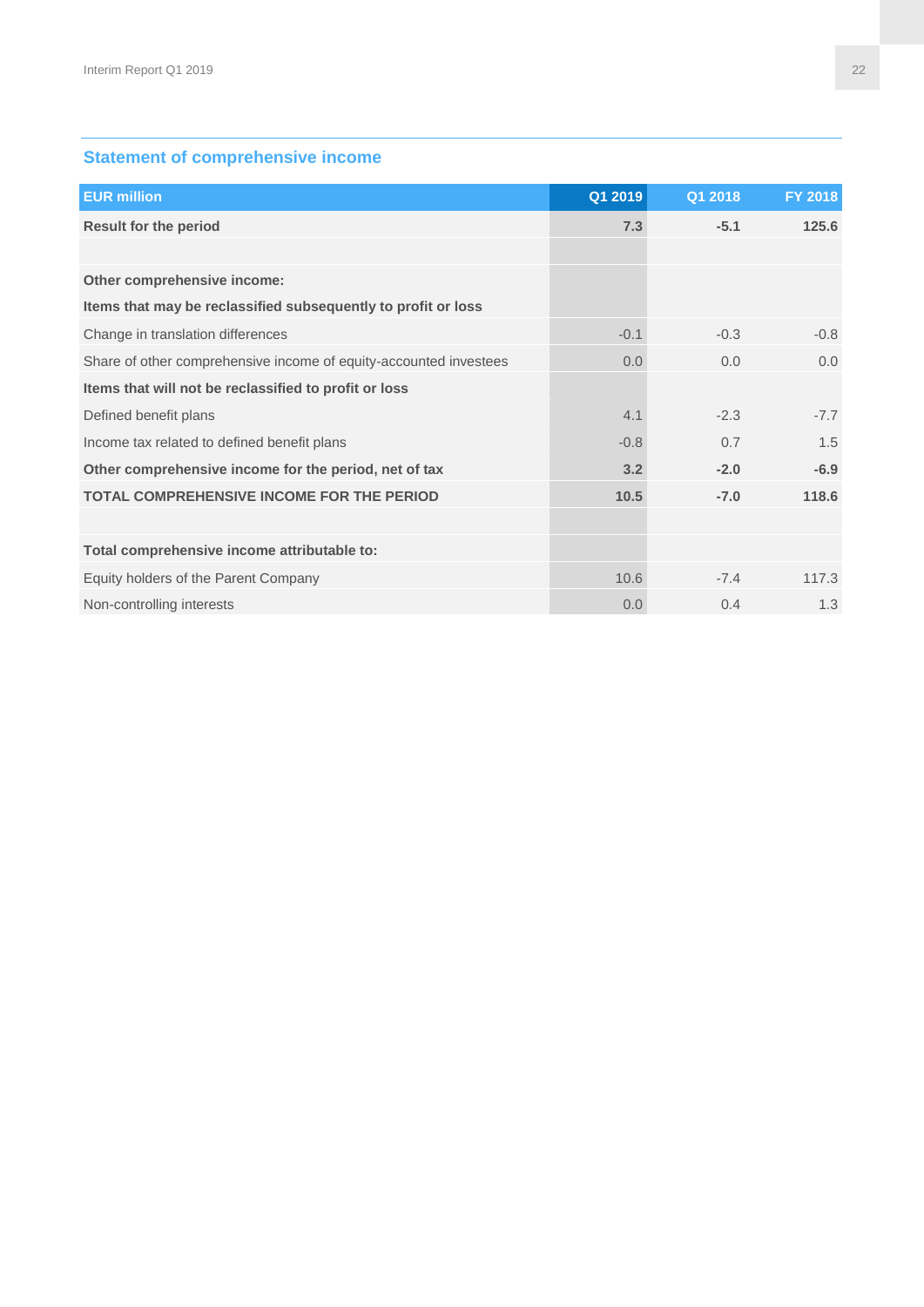# **Statement of comprehensive income**

| <b>EUR million</b>                                                | Q1 2019 | Q1 2018 | FY 2018 |
|-------------------------------------------------------------------|---------|---------|---------|
| <b>Result for the period</b>                                      | 7.3     | $-5.1$  | 125.6   |
|                                                                   |         |         |         |
| Other comprehensive income:                                       |         |         |         |
| Items that may be reclassified subsequently to profit or loss     |         |         |         |
| Change in translation differences                                 | $-0.1$  | $-0.3$  | $-0.8$  |
| Share of other comprehensive income of equity-accounted investees | 0.0     | 0.0     | 0.0     |
| Items that will not be reclassified to profit or loss             |         |         |         |
| Defined benefit plans                                             | 4.1     | $-2.3$  | $-7.7$  |
| Income tax related to defined benefit plans                       | $-0.8$  | 0.7     | 1.5     |
| Other comprehensive income for the period, net of tax             | 3.2     | $-2.0$  | $-6.9$  |
| <b>TOTAL COMPREHENSIVE INCOME FOR THE PERIOD</b>                  | 10.5    | $-7.0$  | 118.6   |
|                                                                   |         |         |         |
| Total comprehensive income attributable to:                       |         |         |         |
| Equity holders of the Parent Company                              | 10.6    | $-7.4$  | 117.3   |
| Non-controlling interests                                         | 0.0     | 0.4     | 1.3     |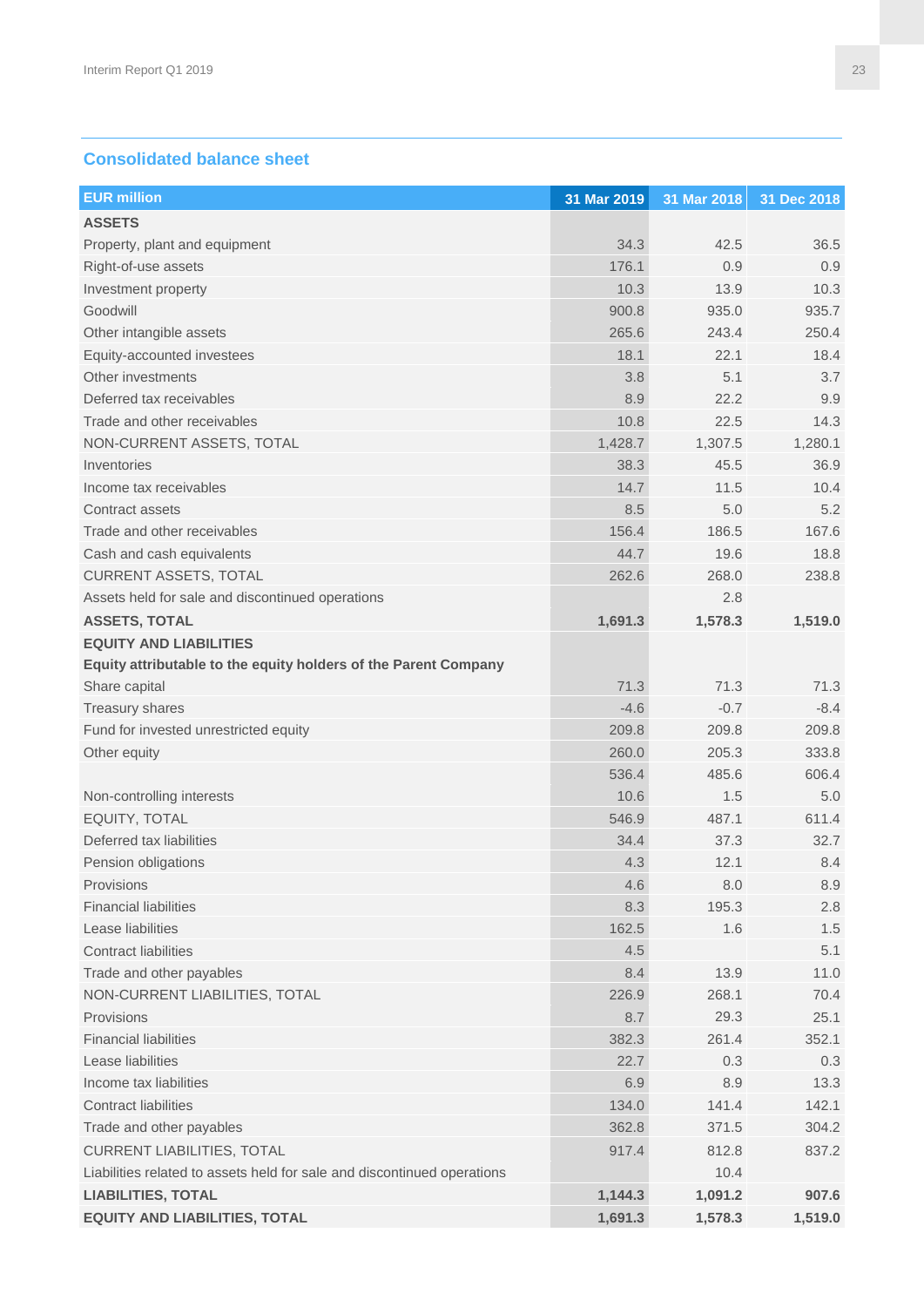#### **Consolidated balance sheet**

| <b>EUR million</b>                                                      | 31 Mar 2019 | 31 Mar 2018 | 31 Dec 2018 |
|-------------------------------------------------------------------------|-------------|-------------|-------------|
| <b>ASSETS</b>                                                           |             |             |             |
| Property, plant and equipment                                           | 34.3        | 42.5        | 36.5        |
| Right-of-use assets                                                     | 176.1       | 0.9         | 0.9         |
| Investment property                                                     | 10.3        | 13.9        | 10.3        |
| Goodwill                                                                | 900.8       | 935.0       | 935.7       |
| Other intangible assets                                                 | 265.6       | 243.4       | 250.4       |
| Equity-accounted investees                                              | 18.1        | 22.1        | 18.4        |
| Other investments                                                       | 3.8         | 5.1         | 3.7         |
| Deferred tax receivables                                                | 8.9         | 22.2        | 9.9         |
| Trade and other receivables                                             | 10.8        | 22.5        | 14.3        |
| NON-CURRENT ASSETS, TOTAL                                               | 1,428.7     | 1,307.5     | 1,280.1     |
| Inventories                                                             | 38.3        | 45.5        | 36.9        |
| Income tax receivables                                                  | 14.7        | 11.5        | 10.4        |
| Contract assets                                                         | 8.5         | 5.0         | 5.2         |
| Trade and other receivables                                             | 156.4       | 186.5       | 167.6       |
| Cash and cash equivalents                                               | 44.7        | 19.6        | 18.8        |
| <b>CURRENT ASSETS, TOTAL</b>                                            | 262.6       | 268.0       | 238.8       |
| Assets held for sale and discontinued operations                        |             | 2.8         |             |
| <b>ASSETS, TOTAL</b>                                                    | 1,691.3     | 1,578.3     | 1,519.0     |
| <b>EQUITY AND LIABILITIES</b>                                           |             |             |             |
| Equity attributable to the equity holders of the Parent Company         |             |             |             |
| Share capital                                                           | 71.3        | 71.3        | 71.3        |
| <b>Treasury shares</b>                                                  | $-4.6$      | $-0.7$      | $-8.4$      |
| Fund for invested unrestricted equity                                   | 209.8       | 209.8       | 209.8       |
| Other equity                                                            | 260.0       | 205.3       | 333.8       |
|                                                                         | 536.4       | 485.6       | 606.4       |
| Non-controlling interests                                               | 10.6        | 1.5         | 5.0         |
| EQUITY, TOTAL                                                           | 546.9       | 487.1       | 611.4       |
| Deferred tax liabilities                                                | 34.4        | 37.3        | 32.7        |
| Pension obligations                                                     | 4.3         | 12.1        | 8.4         |
| Provisions                                                              | 4.6         | 8.0         | 8.9         |
| <b>Financial liabilities</b>                                            | 8.3         | 195.3       | 2.8         |
| Lease liabilities                                                       | 162.5       | 1.6         | 1.5         |
| <b>Contract liabilities</b>                                             | 4.5         |             | 5.1         |
| Trade and other payables                                                | 8.4         | 13.9        | 11.0        |
| NON-CURRENT LIABILITIES, TOTAL                                          | 226.9       | 268.1       | 70.4        |
| Provisions                                                              | 8.7         | 29.3        | 25.1        |
| <b>Financial liabilities</b>                                            | 382.3       | 261.4       | 352.1       |
| Lease liabilities                                                       | 22.7        | 0.3         | 0.3         |
| Income tax liabilities                                                  | 6.9         | 8.9         | 13.3        |
| Contract liabilities                                                    | 134.0       | 141.4       | 142.1       |
| Trade and other payables                                                | 362.8       | 371.5       | 304.2       |
| <b>CURRENT LIABILITIES, TOTAL</b>                                       | 917.4       | 812.8       | 837.2       |
| Liabilities related to assets held for sale and discontinued operations |             | 10.4        |             |
| <b>LIABILITIES, TOTAL</b>                                               | 1,144.3     | 1,091.2     | 907.6       |
| <b>EQUITY AND LIABILITIES, TOTAL</b>                                    | 1,691.3     | 1,578.3     | 1,519.0     |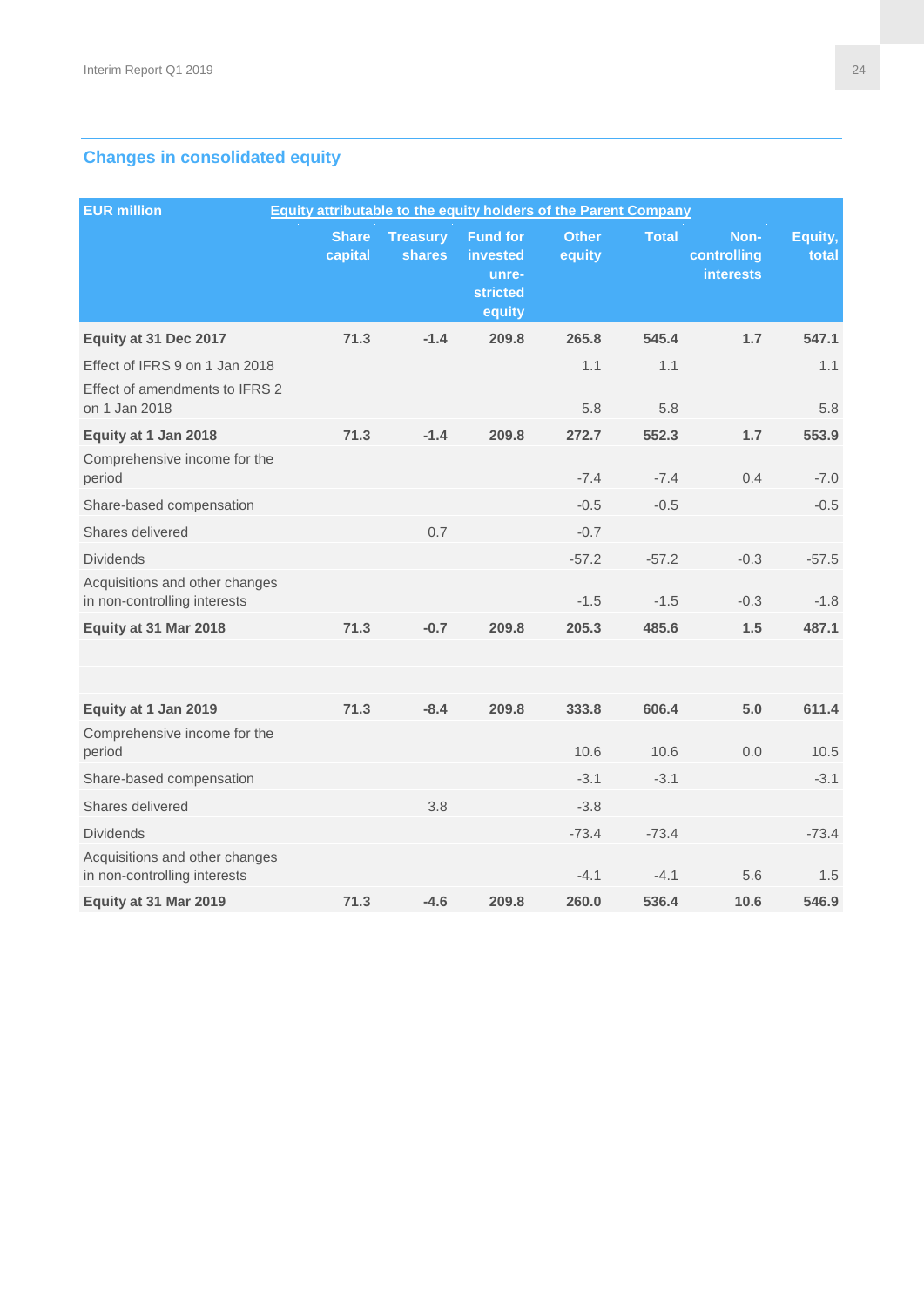# **Changes in consolidated equity**

| <b>EUR million</b>                                             | <b>Equity attributable to the equity holders of the Parent Company</b> |                           |                                                                   |                        |              |                                         |                  |  |
|----------------------------------------------------------------|------------------------------------------------------------------------|---------------------------|-------------------------------------------------------------------|------------------------|--------------|-----------------------------------------|------------------|--|
|                                                                | <b>Share</b><br>capital                                                | <b>Treasury</b><br>shares | <b>Fund for</b><br>invested<br>unre-<br><b>stricted</b><br>equity | <b>Other</b><br>equity | <b>Total</b> | Non-<br>controlling<br><b>interests</b> | Equity,<br>total |  |
| Equity at 31 Dec 2017                                          | 71.3                                                                   | $-1.4$                    | 209.8                                                             | 265.8                  | 545.4        | 1.7                                     | 547.1            |  |
| Effect of IFRS 9 on 1 Jan 2018                                 |                                                                        |                           |                                                                   | 1.1                    | 1.1          |                                         | 1.1              |  |
| Effect of amendments to IFRS 2<br>on 1 Jan 2018                |                                                                        |                           |                                                                   | 5.8                    | 5.8          |                                         | 5.8              |  |
| Equity at 1 Jan 2018                                           | 71.3                                                                   | $-1.4$                    | 209.8                                                             | 272.7                  | 552.3        | 1.7                                     | 553.9            |  |
| Comprehensive income for the<br>period                         |                                                                        |                           |                                                                   | $-7.4$                 | $-7.4$       | 0.4                                     | $-7.0$           |  |
| Share-based compensation                                       |                                                                        |                           |                                                                   | $-0.5$                 | $-0.5$       |                                         | $-0.5$           |  |
| Shares delivered                                               |                                                                        | 0.7                       |                                                                   | $-0.7$                 |              |                                         |                  |  |
| <b>Dividends</b>                                               |                                                                        |                           |                                                                   | $-57.2$                | $-57.2$      | $-0.3$                                  | $-57.5$          |  |
| Acquisitions and other changes<br>in non-controlling interests |                                                                        |                           |                                                                   | $-1.5$                 | $-1.5$       | $-0.3$                                  | $-1.8$           |  |
| Equity at 31 Mar 2018                                          | 71.3                                                                   | $-0.7$                    | 209.8                                                             | 205.3                  | 485.6        | 1.5                                     | 487.1            |  |
|                                                                |                                                                        |                           |                                                                   |                        |              |                                         |                  |  |
| Equity at 1 Jan 2019                                           | 71.3                                                                   | $-8.4$                    | 209.8                                                             | 333.8                  | 606.4        | 5.0                                     | 611.4            |  |
| Comprehensive income for the<br>period                         |                                                                        |                           |                                                                   | 10.6                   | 10.6         | 0.0                                     | 10.5             |  |
| Share-based compensation                                       |                                                                        |                           |                                                                   | $-3.1$                 | $-3.1$       |                                         | $-3.1$           |  |
| Shares delivered                                               |                                                                        | 3.8                       |                                                                   | $-3.8$                 |              |                                         |                  |  |
| <b>Dividends</b>                                               |                                                                        |                           |                                                                   | $-73.4$                | $-73.4$      |                                         | $-73.4$          |  |
| Acquisitions and other changes<br>in non-controlling interests |                                                                        |                           |                                                                   | $-4.1$                 | $-4.1$       | 5.6                                     | 1.5              |  |
| Equity at 31 Mar 2019                                          | 71.3                                                                   | $-4.6$                    | 209.8                                                             | 260.0                  | 536.4        | 10.6                                    | 546.9            |  |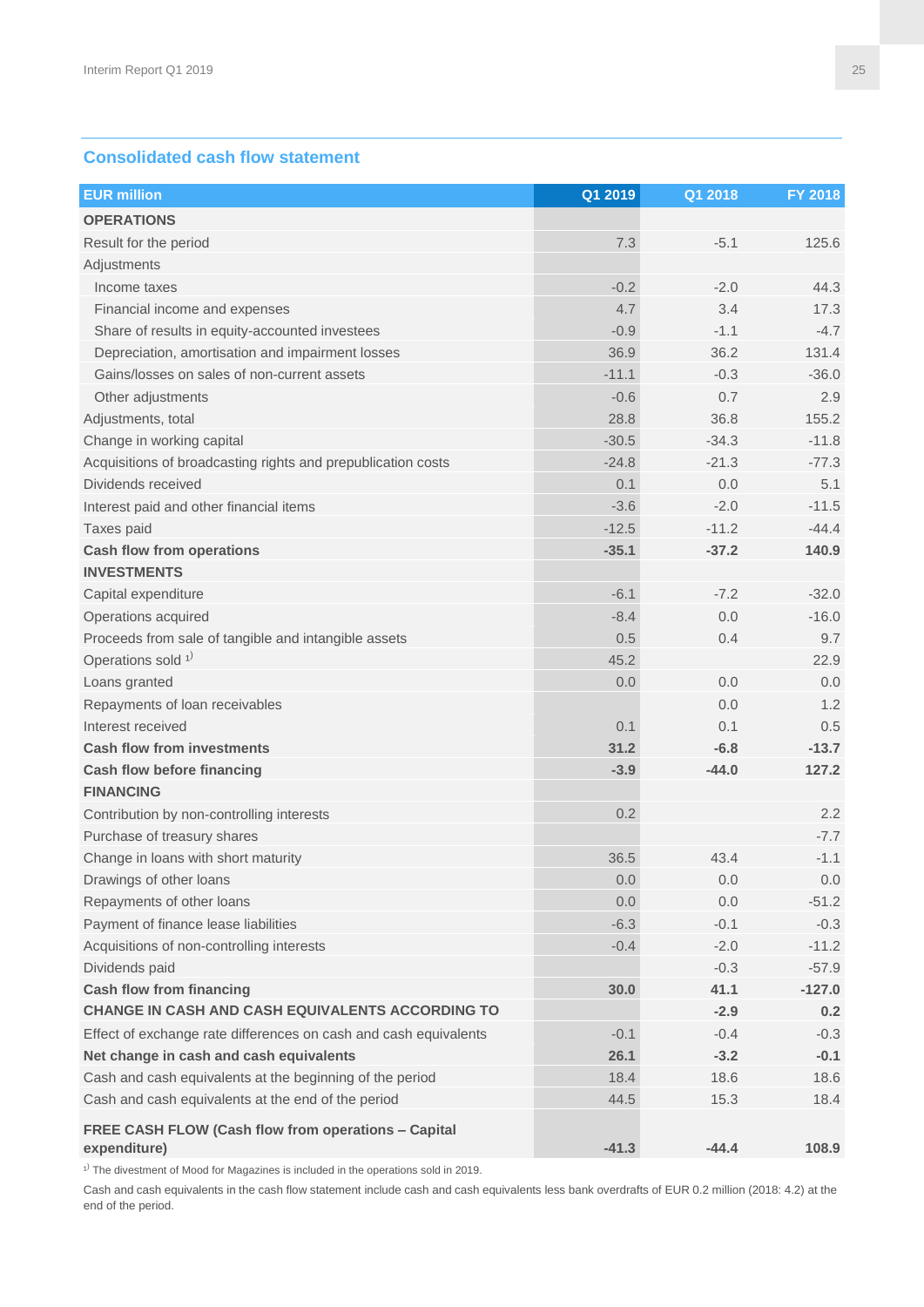#### **Consolidated cash flow statement**

| <b>EUR million</b>                                               | Q1 2019 | Q1 2018 | FY 2018  |
|------------------------------------------------------------------|---------|---------|----------|
| <b>OPERATIONS</b>                                                |         |         |          |
| Result for the period                                            | 7.3     | $-5.1$  | 125.6    |
| Adjustments                                                      |         |         |          |
| Income taxes                                                     | $-0.2$  | $-2.0$  | 44.3     |
| Financial income and expenses                                    | 4.7     | 3.4     | 17.3     |
| Share of results in equity-accounted investees                   | $-0.9$  | $-1.1$  | $-4.7$   |
| Depreciation, amortisation and impairment losses                 | 36.9    | 36.2    | 131.4    |
| Gains/losses on sales of non-current assets                      | $-11.1$ | $-0.3$  | $-36.0$  |
| Other adjustments                                                | $-0.6$  | 0.7     | 2.9      |
| Adjustments, total                                               | 28.8    | 36.8    | 155.2    |
| Change in working capital                                        | $-30.5$ | $-34.3$ | $-11.8$  |
| Acquisitions of broadcasting rights and prepublication costs     | $-24.8$ | $-21.3$ | $-77.3$  |
| Dividends received                                               | 0.1     | 0.0     | 5.1      |
| Interest paid and other financial items                          | $-3.6$  | $-2.0$  | $-11.5$  |
| Taxes paid                                                       | $-12.5$ | $-11.2$ | $-44.4$  |
| <b>Cash flow from operations</b>                                 | $-35.1$ | $-37.2$ | 140.9    |
| <b>INVESTMENTS</b>                                               |         |         |          |
| Capital expenditure                                              | $-6.1$  | $-7.2$  | $-32.0$  |
| Operations acquired                                              | $-8.4$  | 0.0     | $-16.0$  |
| Proceeds from sale of tangible and intangible assets             | 0.5     | 0.4     | 9.7      |
| Operations sold <sup>1)</sup>                                    | 45.2    |         | 22.9     |
| Loans granted                                                    | $0.0\,$ | 0.0     | 0.0      |
| Repayments of loan receivables                                   |         | 0.0     | 1.2      |
| Interest received                                                | 0.1     | 0.1     | 0.5      |
| <b>Cash flow from investments</b>                                | 31.2    | $-6.8$  | $-13.7$  |
| <b>Cash flow before financing</b>                                | $-3.9$  | $-44.0$ | 127.2    |
| <b>FINANCING</b>                                                 |         |         |          |
| Contribution by non-controlling interests                        | 0.2     |         | 2.2      |
| Purchase of treasury shares                                      |         |         | $-7.7$   |
| Change in loans with short maturity                              | 36.5    | 43.4    | $-1.1$   |
| Drawings of other loans                                          | 0.0     | 0.0     | 0.0      |
| Repayments of other loans                                        | 0.0     | 0.0     | $-51.2$  |
| Payment of finance lease liabilities                             | $-6.3$  | $-0.1$  | $-0.3$   |
| Acquisitions of non-controlling interests                        | $-0.4$  | $-2.0$  | $-11.2$  |
| Dividends paid                                                   |         | $-0.3$  | $-57.9$  |
| <b>Cash flow from financing</b>                                  | 30.0    | 41.1    | $-127.0$ |
| <b>CHANGE IN CASH AND CASH EQUIVALENTS ACCORDING TO</b>          |         | $-2.9$  | 0.2      |
| Effect of exchange rate differences on cash and cash equivalents | $-0.1$  | $-0.4$  | $-0.3$   |
| Net change in cash and cash equivalents                          | 26.1    | $-3.2$  | $-0.1$   |
| Cash and cash equivalents at the beginning of the period         | 18.4    | 18.6    | 18.6     |
| Cash and cash equivalents at the end of the period               | 44.5    | 15.3    | 18.4     |
| FREE CASH FLOW (Cash flow from operations - Capital              |         |         |          |
| expenditure)                                                     | $-41.3$ | $-44.4$ | 108.9    |

 $1)$  The divestment of Mood for Magazines is included in the operations sold in 2019.

Cash and cash equivalents in the cash flow statement include cash and cash equivalents less bank overdrafts of EUR 0.2 million (2018: 4.2) at the end of the period.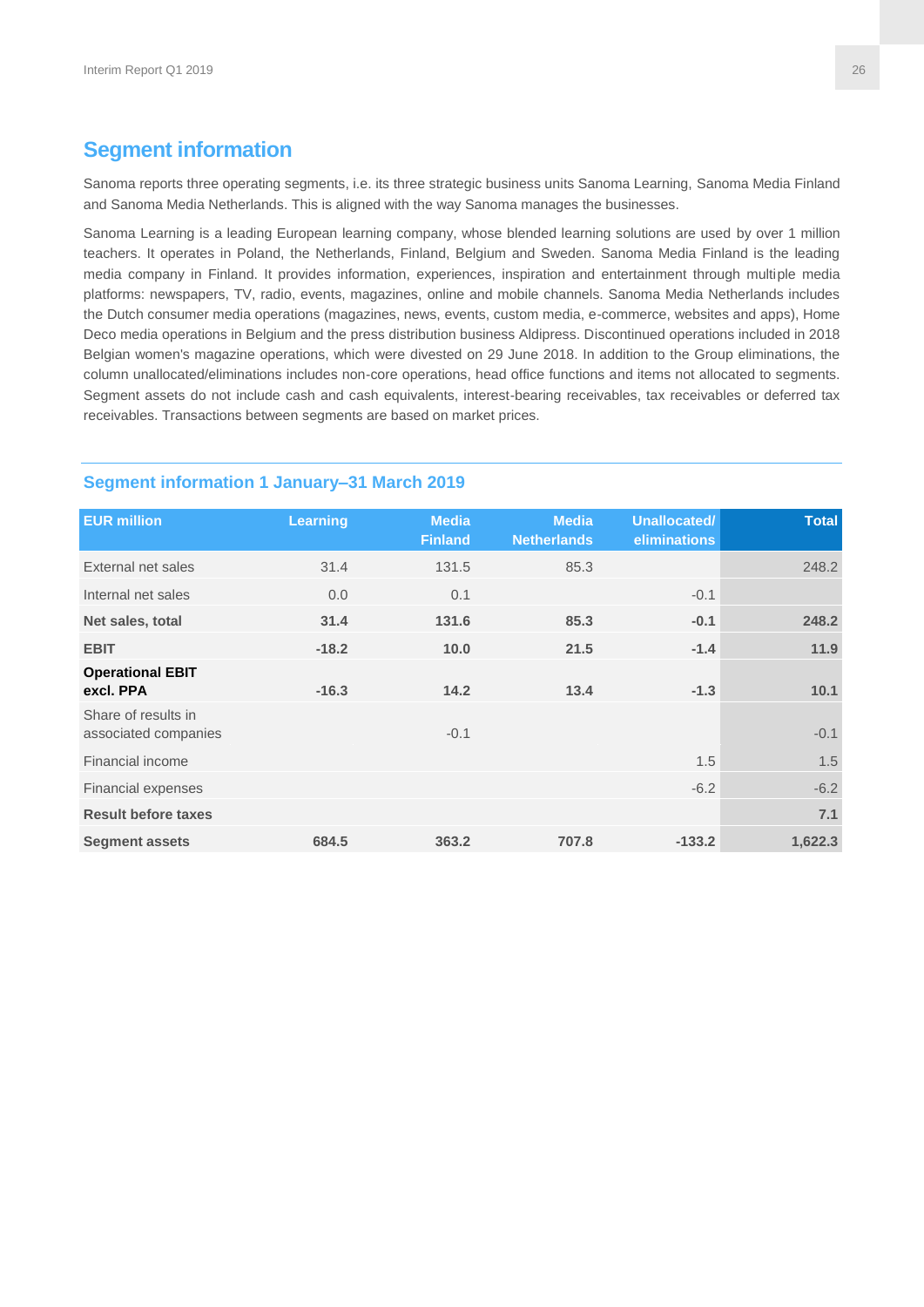# **Segment information**

Sanoma reports three operating segments, i.e. its three strategic business units Sanoma Learning, Sanoma Media Finland and Sanoma Media Netherlands. This is aligned with the way Sanoma manages the businesses.

Sanoma Learning is a leading European learning company, whose blended learning solutions are used by over 1 million teachers. It operates in Poland, the Netherlands, Finland, Belgium and Sweden. Sanoma Media Finland is the leading media company in Finland. It provides information, experiences, inspiration and entertainment through multiple media platforms: newspapers, TV, radio, events, magazines, online and mobile channels. Sanoma Media Netherlands includes the Dutch consumer media operations (magazines, news, events, custom media, e-commerce, websites and apps), Home Deco media operations in Belgium and the press distribution business Aldipress. Discontinued operations included in 2018 Belgian women's magazine operations, which were divested on 29 June 2018. In addition to the Group eliminations, the column unallocated/eliminations includes non-core operations, head office functions and items not allocated to segments. Segment assets do not include cash and cash equivalents, interest-bearing receivables, tax receivables or deferred tax receivables. Transactions between segments are based on market prices.

| <b>EUR million</b>                          | Learning | <b>Media</b><br><b>Finland</b> | <b>Media</b><br><b>Netherlands</b> | Unallocated/<br>eliminations | <b>Total</b> |
|---------------------------------------------|----------|--------------------------------|------------------------------------|------------------------------|--------------|
| External net sales                          | 31.4     | 131.5                          | 85.3                               |                              | 248.2        |
| Internal net sales                          | 0.0      | 0.1                            |                                    | $-0.1$                       |              |
| Net sales, total                            | 31.4     | 131.6                          | 85.3                               | $-0.1$                       | 248.2        |
| <b>EBIT</b>                                 | $-18.2$  | 10.0                           | 21.5                               | $-1.4$                       | 11.9         |
| <b>Operational EBIT</b><br>excl. PPA        | $-16.3$  | 14.2                           | 13.4                               | $-1.3$                       | 10.1         |
| Share of results in<br>associated companies |          | $-0.1$                         |                                    |                              | $-0.1$       |
| Financial income                            |          |                                |                                    | 1.5                          | 1.5          |
| <b>Financial expenses</b>                   |          |                                |                                    | $-6.2$                       | $-6.2$       |
| <b>Result before taxes</b>                  |          |                                |                                    |                              | 7.1          |
| <b>Segment assets</b>                       | 684.5    | 363.2                          | 707.8                              | $-133.2$                     | 1,622.3      |

#### **Segment information 1 January–31 March 2019**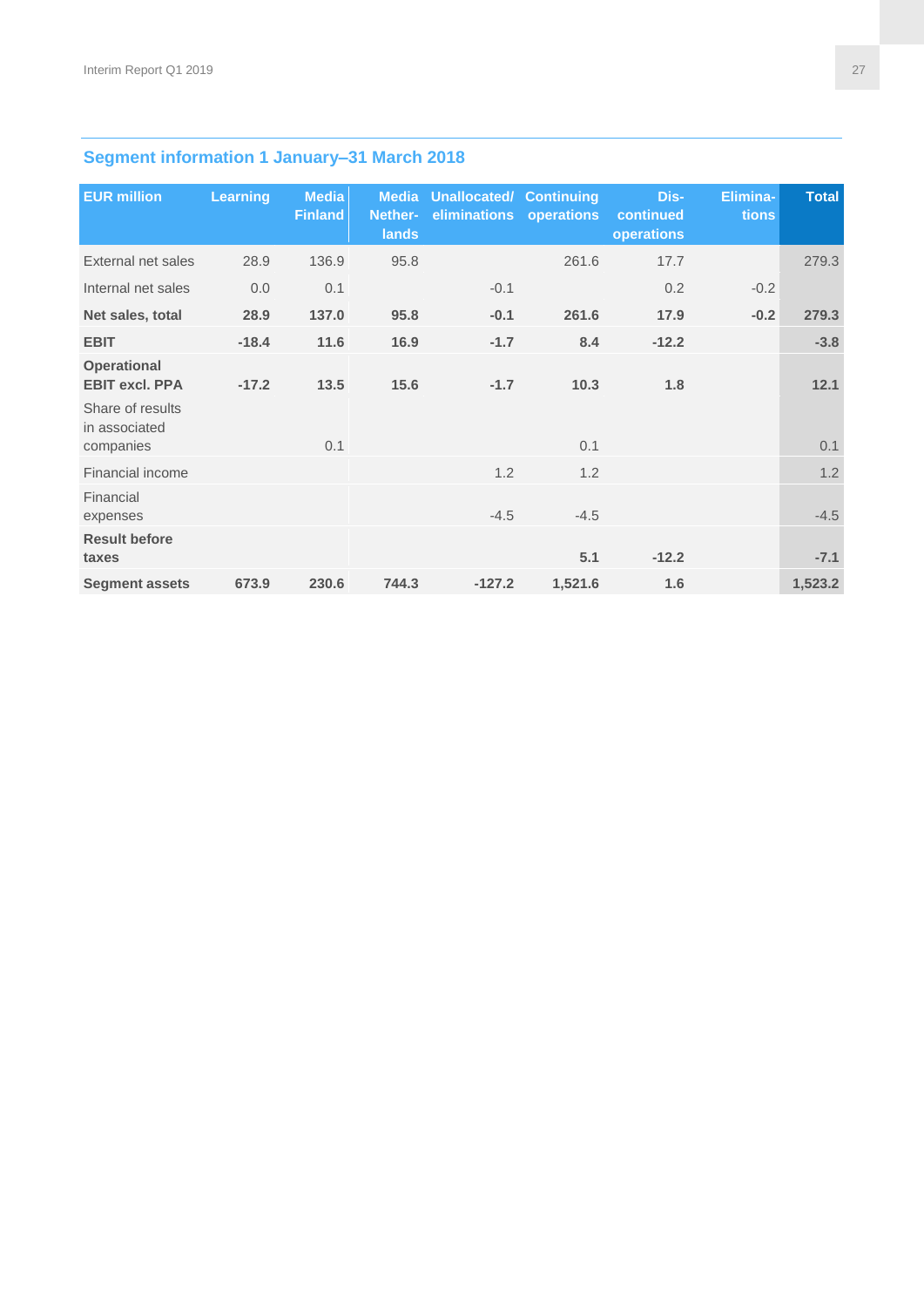# **Segment information 1 January–31 March 2018**

| <b>EUR million</b>                          | <b>Learning</b> | <b>Media</b><br><b>Finland</b> | <b>Media</b><br>Nether-<br>lands | <b>Unallocated/ Continuing</b><br>eliminations | operations | Dis-<br>continued<br>operations | Elimina-<br>tions | <b>Total</b> |
|---------------------------------------------|-----------------|--------------------------------|----------------------------------|------------------------------------------------|------------|---------------------------------|-------------------|--------------|
| External net sales                          | 28.9            | 136.9                          | 95.8                             |                                                | 261.6      | 17.7                            |                   | 279.3        |
| Internal net sales                          | 0.0             | 0.1                            |                                  | $-0.1$                                         |            | 0.2                             | $-0.2$            |              |
| Net sales, total                            | 28.9            | 137.0                          | 95.8                             | $-0.1$                                         | 261.6      | 17.9                            | $-0.2$            | 279.3        |
| <b>EBIT</b>                                 | $-18.4$         | 11.6                           | 16.9                             | $-1.7$                                         | 8.4        | $-12.2$                         |                   | $-3.8$       |
| <b>Operational</b><br><b>EBIT excl. PPA</b> | $-17.2$         | 13.5                           | 15.6                             | $-1.7$                                         | 10.3       | 1.8                             |                   | 12.1         |
| Share of results<br>in associated           |                 |                                |                                  |                                                |            |                                 |                   |              |
| companies                                   |                 | 0.1                            |                                  |                                                | 0.1        |                                 |                   | 0.1          |
| Financial income                            |                 |                                |                                  | 1.2                                            | 1.2        |                                 |                   | 1.2          |
| Financial<br>expenses                       |                 |                                |                                  | $-4.5$                                         | $-4.5$     |                                 |                   | $-4.5$       |
| <b>Result before</b><br>taxes               |                 |                                |                                  |                                                | 5.1        | $-12.2$                         |                   | $-7.1$       |
| <b>Segment assets</b>                       | 673.9           | 230.6                          | 744.3                            | $-127.2$                                       | 1,521.6    | 1.6                             |                   | 1,523.2      |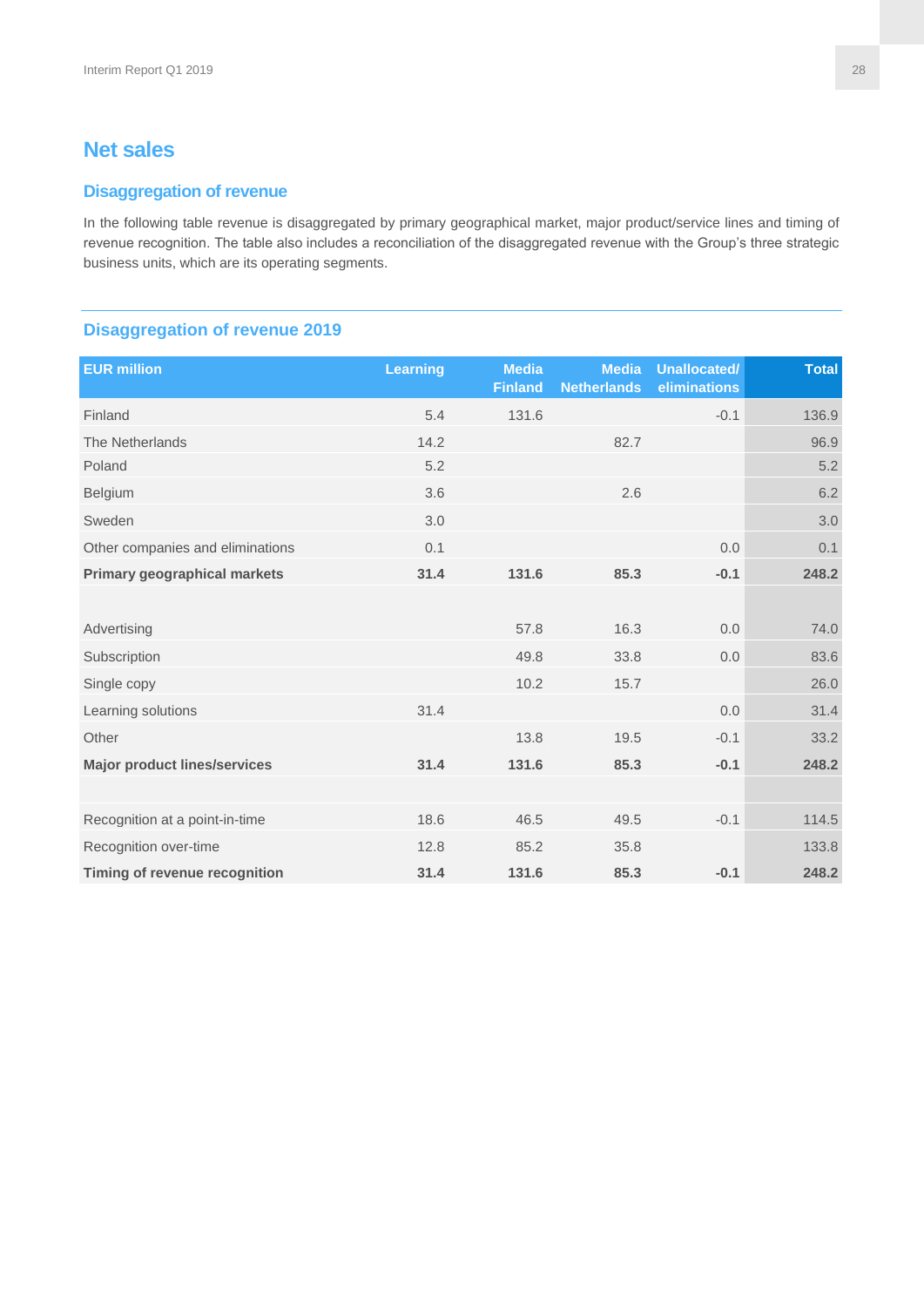# **Net sales**

#### **Disaggregation of revenue**

In the following table revenue is disaggregated by primary geographical market, major product/service lines and timing of revenue recognition. The table also includes a reconciliation of the disaggregated revenue with the Group's three strategic business units, which are its operating segments.

#### **Disaggregation of revenue 2019**

| <b>EUR million</b>                  | <b>Learning</b> | <b>Media</b><br><b>Finland</b> | <b>Media</b><br><b>Netherlands</b> | <b>Unallocated/</b><br>eliminations | <b>Total</b> |
|-------------------------------------|-----------------|--------------------------------|------------------------------------|-------------------------------------|--------------|
| Finland                             | 5.4             | 131.6                          |                                    | $-0.1$                              | 136.9        |
| The Netherlands                     | 14.2            |                                | 82.7                               |                                     | 96.9         |
| Poland                              | 5.2             |                                |                                    |                                     | 5.2          |
| Belgium                             | 3.6             |                                | 2.6                                |                                     | 6.2          |
| Sweden                              | 3.0             |                                |                                    |                                     | 3.0          |
| Other companies and eliminations    | 0.1             |                                |                                    | 0.0                                 | 0.1          |
| <b>Primary geographical markets</b> | 31.4            | 131.6                          | 85.3                               | $-0.1$                              | 248.2        |
|                                     |                 |                                |                                    |                                     |              |
| Advertising                         |                 | 57.8                           | 16.3                               | 0.0                                 | 74.0         |
| Subscription                        |                 | 49.8                           | 33.8                               | 0.0                                 | 83.6         |
| Single copy                         |                 | 10.2                           | 15.7                               |                                     | 26.0         |
| Learning solutions                  | 31.4            |                                |                                    | 0.0                                 | 31.4         |
| Other                               |                 | 13.8                           | 19.5                               | $-0.1$                              | 33.2         |
| <b>Major product lines/services</b> | 31.4            | 131.6                          | 85.3                               | $-0.1$                              | 248.2        |
|                                     |                 |                                |                                    |                                     |              |
| Recognition at a point-in-time      | 18.6            | 46.5                           | 49.5                               | $-0.1$                              | 114.5        |
| Recognition over-time               | 12.8            | 85.2                           | 35.8                               |                                     | 133.8        |
| Timing of revenue recognition       | 31.4            | 131.6                          | 85.3                               | $-0.1$                              | 248.2        |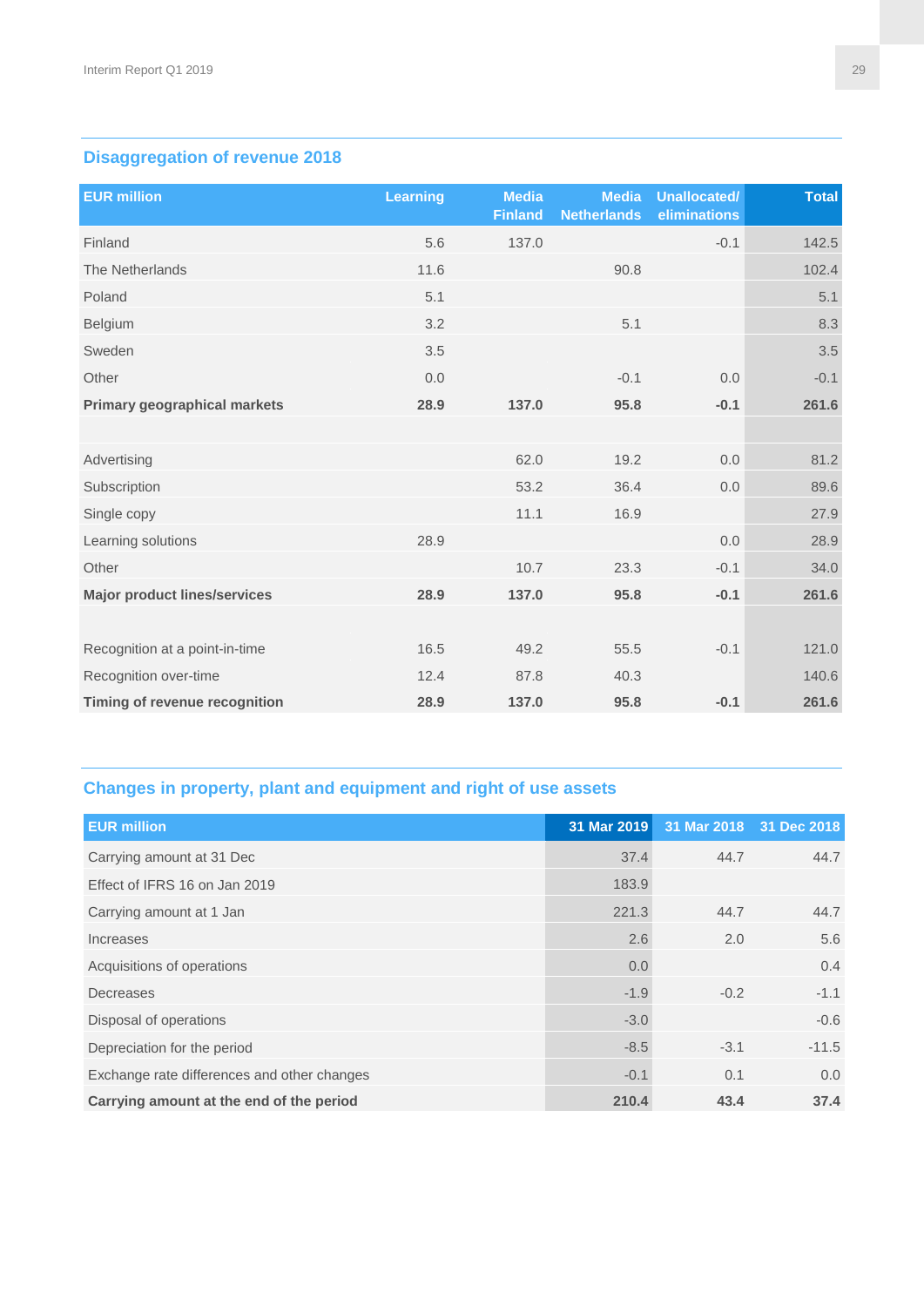# **Disaggregation of revenue 2018**

| <b>EUR million</b>                  | <b>Learning</b> | <b>Media</b><br><b>Finland</b> | <b>Media</b><br><b>Netherlands</b> | <b>Unallocated/</b><br>eliminations | <b>Total</b> |
|-------------------------------------|-----------------|--------------------------------|------------------------------------|-------------------------------------|--------------|
| Finland                             | 5.6             | 137.0                          |                                    | $-0.1$                              | 142.5        |
| The Netherlands                     | 11.6            |                                | 90.8                               |                                     | 102.4        |
| Poland                              | 5.1             |                                |                                    |                                     | 5.1          |
| Belgium                             | 3.2             |                                | 5.1                                |                                     | 8.3          |
| Sweden                              | 3.5             |                                |                                    |                                     | 3.5          |
| Other                               | 0.0             |                                | $-0.1$                             | 0.0                                 | $-0.1$       |
| <b>Primary geographical markets</b> | 28.9            | 137.0                          | 95.8                               | $-0.1$                              | 261.6        |
|                                     |                 |                                |                                    |                                     |              |
| Advertising                         |                 | 62.0                           | 19.2                               | 0.0                                 | 81.2         |
| Subscription                        |                 | 53.2                           | 36.4                               | 0.0                                 | 89.6         |
| Single copy                         |                 | 11.1                           | 16.9                               |                                     | 27.9         |
| Learning solutions                  | 28.9            |                                |                                    | 0.0                                 | 28.9         |
| Other                               |                 | 10.7                           | 23.3                               | $-0.1$                              | 34.0         |
| <b>Major product lines/services</b> | 28.9            | 137.0                          | 95.8                               | $-0.1$                              | 261.6        |
|                                     |                 |                                |                                    |                                     |              |
| Recognition at a point-in-time      | 16.5            | 49.2                           | 55.5                               | $-0.1$                              | 121.0        |
| Recognition over-time               | 12.4            | 87.8                           | 40.3                               |                                     | 140.6        |
| Timing of revenue recognition       | 28.9            | 137.0                          | 95.8                               | $-0.1$                              | 261.6        |

# **Changes in property, plant and equipment and right of use assets**

| <b>EUR million</b>                          | 31 Mar 2019 | 31 Mar 2018 31 Dec 2018 |         |
|---------------------------------------------|-------------|-------------------------|---------|
| Carrying amount at 31 Dec                   | 37.4        | 44.7                    | 44.7    |
| Effect of IFRS 16 on Jan 2019               | 183.9       |                         |         |
| Carrying amount at 1 Jan                    | 221.3       | 44.7                    | 44.7    |
| Increases                                   | 2.6         | 2.0                     | 5.6     |
| Acquisitions of operations                  | 0.0         |                         | 0.4     |
| Decreases                                   | $-1.9$      | $-0.2$                  | $-1.1$  |
| Disposal of operations                      | $-3.0$      |                         | $-0.6$  |
| Depreciation for the period                 | $-8.5$      | $-3.1$                  | $-11.5$ |
| Exchange rate differences and other changes | $-0.1$      | 0.1                     | 0.0     |
| Carrying amount at the end of the period    | 210.4       | 43.4                    | 37.4    |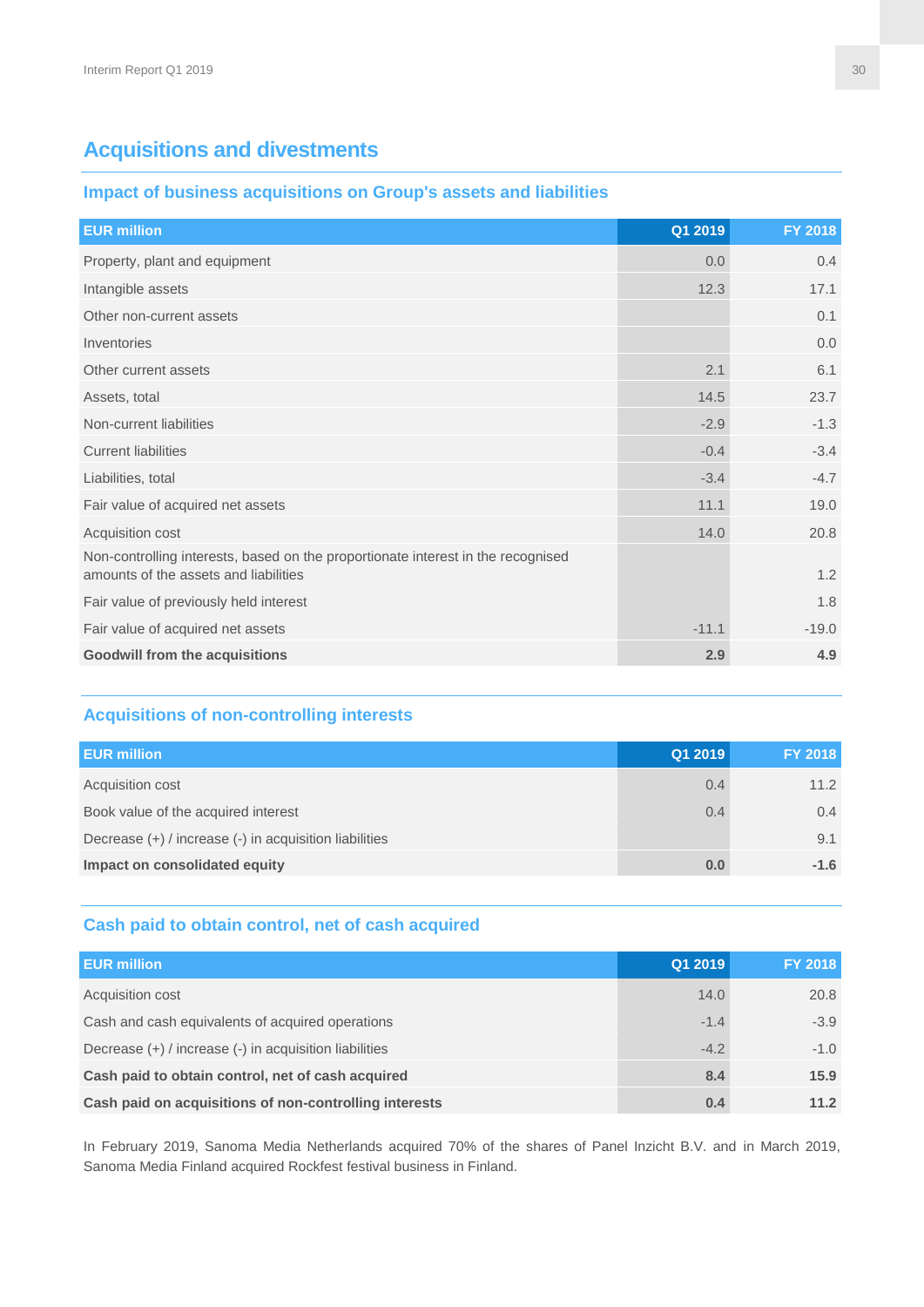# **Acquisitions and divestments**

#### **Impact of business acquisitions on Group's assets and liabilities**

| <b>EUR million</b>                                                                                                        | Q1 2019 | FY 2018 |
|---------------------------------------------------------------------------------------------------------------------------|---------|---------|
| Property, plant and equipment                                                                                             | 0.0     | 0.4     |
| Intangible assets                                                                                                         | 12.3    | 17.1    |
| Other non-current assets                                                                                                  |         | 0.1     |
| Inventories                                                                                                               |         | 0.0     |
| Other current assets                                                                                                      | 2.1     | 6.1     |
| Assets, total                                                                                                             | 14.5    | 23.7    |
| Non-current liabilities                                                                                                   | $-2.9$  | $-1.3$  |
| <b>Current liabilities</b>                                                                                                | $-0.4$  | $-3.4$  |
| Liabilities, total                                                                                                        | $-3.4$  | $-4.7$  |
| Fair value of acquired net assets                                                                                         | 11.1    | 19.0    |
| Acquisition cost                                                                                                          | 14.0    | 20.8    |
| Non-controlling interests, based on the proportionate interest in the recognised<br>amounts of the assets and liabilities |         | 1.2     |
| Fair value of previously held interest                                                                                    |         | 1.8     |
| Fair value of acquired net assets                                                                                         | $-11.1$ | $-19.0$ |
| <b>Goodwill from the acquisitions</b>                                                                                     | 2.9     | 4.9     |

# **Acquisitions of non-controlling interests**

| <b>EUR million</b>                                     | Q1 2019 | <b>FY 2018</b> |
|--------------------------------------------------------|---------|----------------|
| Acquisition cost                                       | 0.4     | 11.2           |
| Book value of the acquired interest                    | 0.4     | 0.4            |
| Decrease (+) / increase (-) in acquisition liabilities |         | 9.1            |
| Impact on consolidated equity                          | 0.0     | $-1.6$         |

#### **Cash paid to obtain control, net of cash acquired**

| <b>EUR million</b>                                     | Q1 2019 | <b>FY 2018</b> |
|--------------------------------------------------------|---------|----------------|
| Acquisition cost                                       | 14.0    | 20.8           |
| Cash and cash equivalents of acquired operations       | $-1.4$  | $-3.9$         |
| Decrease (+) / increase (-) in acquisition liabilities | $-4.2$  | $-1.0$         |
| Cash paid to obtain control, net of cash acquired      | 8.4     | 15.9           |
| Cash paid on acquisitions of non-controlling interests | 0.4     | 11.2           |

In February 2019, Sanoma Media Netherlands acquired 70% of the shares of Panel Inzicht B.V. and in March 2019, Sanoma Media Finland acquired Rockfest festival business in Finland.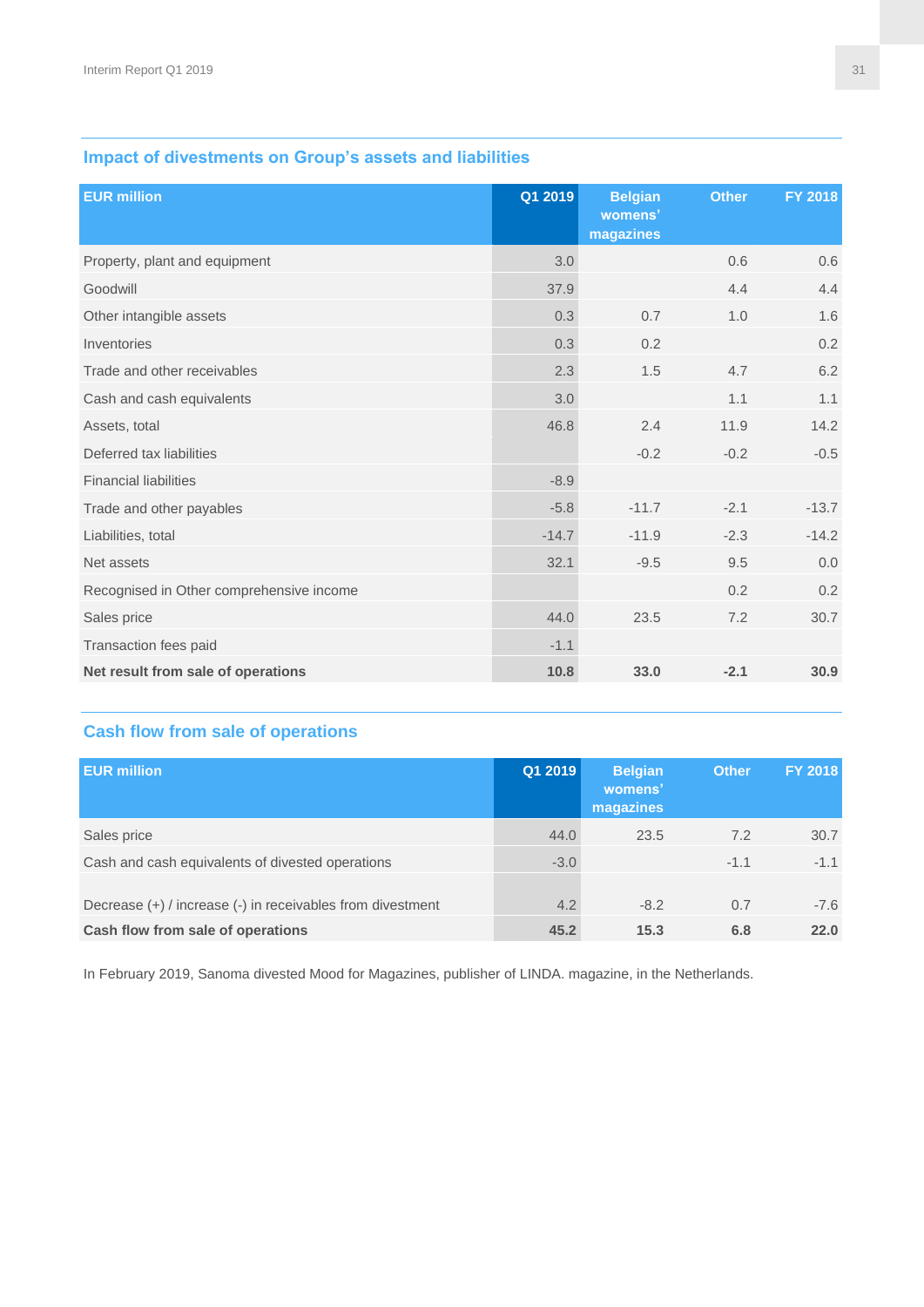# **Impact of divestments on Group's assets and liabilities**

| <b>EUR million</b>                       | Q1 2019 | <b>Belgian</b><br>womens'<br>magazines | <b>Other</b> | FY 2018 |
|------------------------------------------|---------|----------------------------------------|--------------|---------|
| Property, plant and equipment            | 3.0     |                                        | 0.6          | 0.6     |
| Goodwill                                 | 37.9    |                                        | 4.4          | 4.4     |
| Other intangible assets                  | 0.3     | 0.7                                    | 1.0          | 1.6     |
| Inventories                              | 0.3     | 0.2                                    |              | 0.2     |
| Trade and other receivables              | 2.3     | 1.5                                    | 4.7          | 6.2     |
| Cash and cash equivalents                | 3.0     |                                        | 1.1          | 1.1     |
| Assets, total                            | 46.8    | 2.4                                    | 11.9         | 14.2    |
| Deferred tax liabilities                 |         | $-0.2$                                 | $-0.2$       | $-0.5$  |
| <b>Financial liabilities</b>             | $-8.9$  |                                        |              |         |
| Trade and other payables                 | $-5.8$  | $-11.7$                                | $-2.1$       | $-13.7$ |
| Liabilities, total                       | $-14.7$ | $-11.9$                                | $-2.3$       | $-14.2$ |
| Net assets                               | 32.1    | $-9.5$                                 | 9.5          | 0.0     |
| Recognised in Other comprehensive income |         |                                        | 0.2          | 0.2     |
| Sales price                              | 44.0    | 23.5                                   | 7.2          | 30.7    |
| Transaction fees paid                    | $-1.1$  |                                        |              |         |
| Net result from sale of operations       | 10.8    | 33.0                                   | $-2.1$       | 30.9    |

# **Cash flow from sale of operations**

| <b>EUR million</b>                                         | Q12019 | <b>Belgian</b><br>womens'<br>magazines | <b>Other</b> | <b>FY 2018</b> |
|------------------------------------------------------------|--------|----------------------------------------|--------------|----------------|
| Sales price                                                | 44.0   | 23.5                                   | 7.2          | 30.7           |
| Cash and cash equivalents of divested operations           | $-3.0$ |                                        | $-1.1$       | $-1.1$         |
| Decrease (+) / increase (-) in receivables from divestment | 4.2    | $-8.2$                                 | 0.7          | $-7.6$         |
| Cash flow from sale of operations                          | 45.2   | 15.3                                   | 6.8          | 22.0           |

In February 2019, Sanoma divested Mood for Magazines, publisher of LINDA. magazine, in the Netherlands.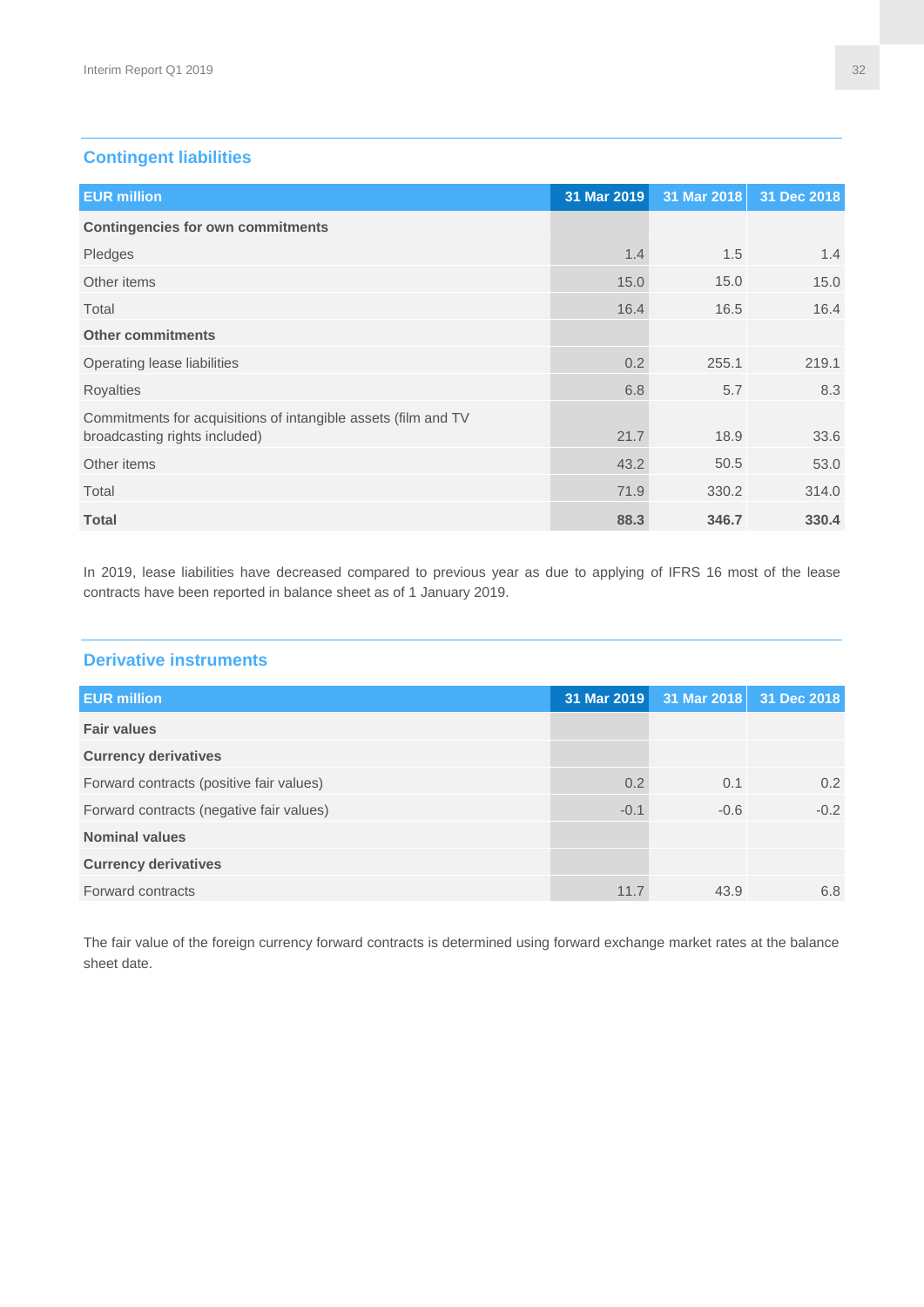# **Contingent liabilities**

| <b>EUR million</b>                                                                              | 31 Mar 2019 |       | 31 Mar 2018 31 Dec 2018 |
|-------------------------------------------------------------------------------------------------|-------------|-------|-------------------------|
| <b>Contingencies for own commitments</b>                                                        |             |       |                         |
| Pledges                                                                                         | 1.4         | 1.5   | 1.4                     |
| Other items                                                                                     | 15.0        | 15.0  | 15.0                    |
| Total                                                                                           | 16.4        | 16.5  | 16.4                    |
| <b>Other commitments</b>                                                                        |             |       |                         |
| Operating lease liabilities                                                                     | 0.2         | 255.1 | 219.1                   |
| <b>Royalties</b>                                                                                | 6.8         | 5.7   | 8.3                     |
| Commitments for acquisitions of intangible assets (film and TV<br>broadcasting rights included) | 21.7        | 18.9  | 33.6                    |
| Other items                                                                                     | 43.2        | 50.5  | 53.0                    |
| Total                                                                                           | 71.9        | 330.2 | 314.0                   |
| <b>Total</b>                                                                                    | 88.3        | 346.7 | 330.4                   |

In 2019, lease liabilities have decreased compared to previous year as due to applying of IFRS 16 most of the lease contracts have been reported in balance sheet as of 1 January 2019.

#### **Derivative instruments**

| <b>EUR million</b>                       | 31 Mar 2019 |        | 31 Mar 2018 31 Dec 2018 |
|------------------------------------------|-------------|--------|-------------------------|
| <b>Fair values</b>                       |             |        |                         |
| <b>Currency derivatives</b>              |             |        |                         |
| Forward contracts (positive fair values) | 0.2         | 0.1    | $0.2^{\circ}$           |
| Forward contracts (negative fair values) | $-0.1$      | $-0.6$ | $-0.2$                  |
| <b>Nominal values</b>                    |             |        |                         |
| <b>Currency derivatives</b>              |             |        |                         |
| Forward contracts                        | 11.7        | 43.9   | 6.8                     |
|                                          |             |        |                         |

The fair value of the foreign currency forward contracts is determined using forward exchange market rates at the balance sheet date.